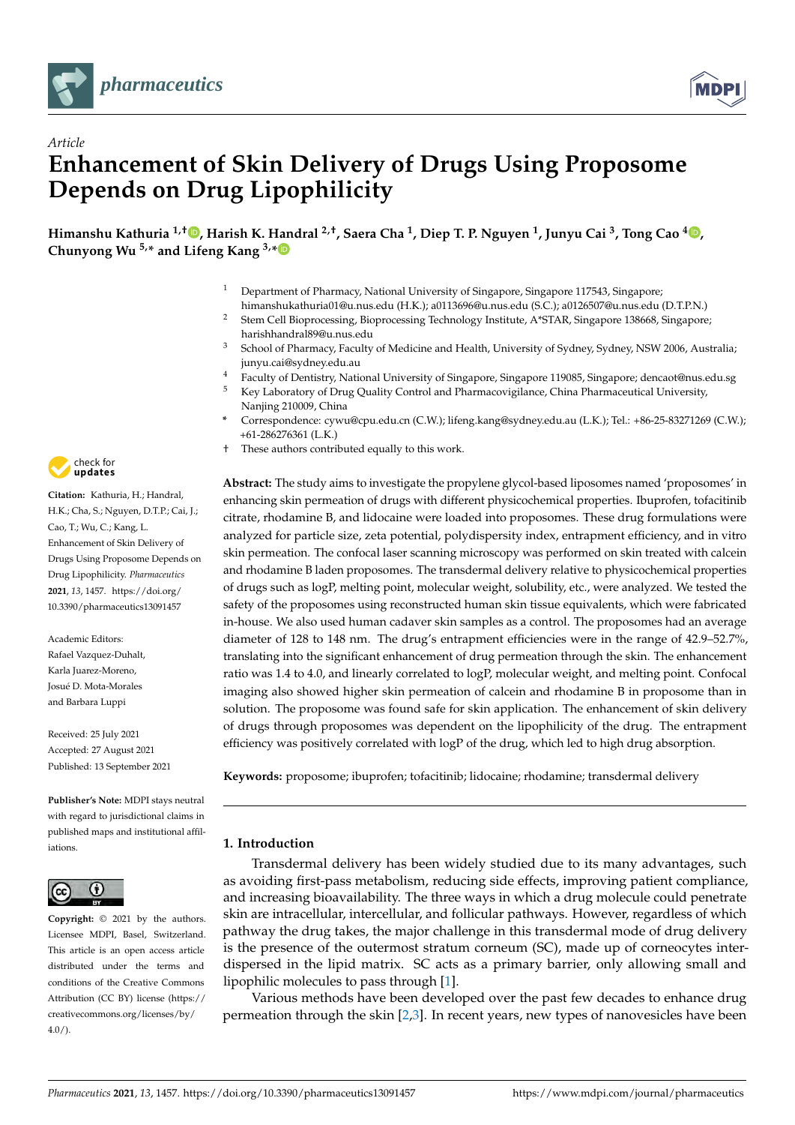

*Article*



# **Enhancement of Skin Delivery of Drugs Using Proposome Depends on Drug Lipophilicity**

**Himanshu Kathuria 1,† [,](https://orcid.org/0000-0002-9502-2901) Harish K. Handral 2,†, Saera Cha <sup>1</sup> , Diep T. P. Nguyen <sup>1</sup> , Junyu Cai <sup>3</sup> , Tong Cao <sup>4</sup> [,](https://orcid.org/0000-0002-7994-9627) Chunyong Wu 5,\* and Lifeng Kang 3,[\\*](https://orcid.org/0000-0002-1676-7607)**

- Department of Pharmacy, National University of Singapore, Singapore 117543, Singapore;
- himanshukathuria01@u.nus.edu (H.K.); a0113696@u.nus.edu (S.C.); a0126507@u.nus.edu (D.T.P.N.) <sup>2</sup> Stem Cell Bioprocessing, Bioprocessing Technology Institute, A\*STAR, Singapore 138668, Singapore; harishhandral89@u.nus.edu
- <sup>3</sup> School of Pharmacy, Faculty of Medicine and Health, University of Sydney, Sydney, NSW 2006, Australia; junyu.cai@sydney.edu.au
- <sup>4</sup> Faculty of Dentistry, National University of Singapore, Singapore 119085, Singapore; dencaot@nus.edu.sg<br><sup>5</sup> Key Laboratory of Drug Quality Control and Pharmacovigilance. China Pharmaceutical University
- <sup>5</sup> Key Laboratory of Drug Quality Control and Pharmacovigilance, China Pharmaceutical University, Nanjing 210009, China
- **\*** Correspondence: cywu@cpu.edu.cn (C.W.); lifeng.kang@sydney.edu.au (L.K.); Tel.: +86-25-83271269 (C.W.); +61-286276361 (L.K.)
- † These authors contributed equally to this work.

**Abstract:** The study aims to investigate the propylene glycol-based liposomes named 'proposomes' in enhancing skin permeation of drugs with different physicochemical properties. Ibuprofen, tofacitinib citrate, rhodamine B, and lidocaine were loaded into proposomes. These drug formulations were analyzed for particle size, zeta potential, polydispersity index, entrapment efficiency, and in vitro skin permeation. The confocal laser scanning microscopy was performed on skin treated with calcein and rhodamine B laden proposomes. The transdermal delivery relative to physicochemical properties of drugs such as logP, melting point, molecular weight, solubility, etc., were analyzed. We tested the safety of the proposomes using reconstructed human skin tissue equivalents, which were fabricated in-house. We also used human cadaver skin samples as a control. The proposomes had an average diameter of 128 to 148 nm. The drug's entrapment efficiencies were in the range of 42.9–52.7%, translating into the significant enhancement of drug permeation through the skin. The enhancement ratio was 1.4 to 4.0, and linearly correlated to logP, molecular weight, and melting point. Confocal imaging also showed higher skin permeation of calcein and rhodamine B in proposome than in solution. The proposome was found safe for skin application. The enhancement of skin delivery of drugs through proposomes was dependent on the lipophilicity of the drug. The entrapment efficiency was positively correlated with logP of the drug, which led to high drug absorption.

**Keywords:** proposome; ibuprofen; tofacitinib; lidocaine; rhodamine; transdermal delivery

# **1. Introduction**

Transdermal delivery has been widely studied due to its many advantages, such as avoiding first-pass metabolism, reducing side effects, improving patient compliance, and increasing bioavailability. The three ways in which a drug molecule could penetrate skin are intracellular, intercellular, and follicular pathways. However, regardless of which pathway the drug takes, the major challenge in this transdermal mode of drug delivery is the presence of the outermost stratum corneum (SC), made up of corneocytes interdispersed in the lipid matrix. SC acts as a primary barrier, only allowing small and lipophilic molecules to pass through [\[1\]](#page-16-0).

Various methods have been developed over the past few decades to enhance drug permeation through the skin [\[2](#page-16-1)[,3\]](#page-16-2). In recent years, new types of nanovesicles have been



**Citation:** Kathuria, H.; Handral, H.K.; Cha, S.; Nguyen, D.T.P.; Cai, J.; Cao, T.; Wu, C.; Kang, L. Enhancement of Skin Delivery of Drugs Using Proposome Depends on Drug Lipophilicity. *Pharmaceutics* **2021**, *13*, 1457. [https://doi.org/](https://doi.org/10.3390/pharmaceutics13091457) [10.3390/pharmaceutics13091457](https://doi.org/10.3390/pharmaceutics13091457)

Academic Editors: Rafael Vazquez-Duhalt, Karla Juarez-Moreno, Josué D. Mota-Morales and Barbara Luppi

Received: 25 July 2021 Accepted: 27 August 2021 Published: 13 September 2021

**Publisher's Note:** MDPI stays neutral with regard to jurisdictional claims in published maps and institutional affiliations.



**Copyright:** © 2021 by the authors. Licensee MDPI, Basel, Switzerland. This article is an open access article distributed under the terms and conditions of the Creative Commons Attribution (CC BY) license (https:/[/](https://creativecommons.org/licenses/by/4.0/) [creativecommons.org/licenses/by/](https://creativecommons.org/licenses/by/4.0/)  $4.0/$ ).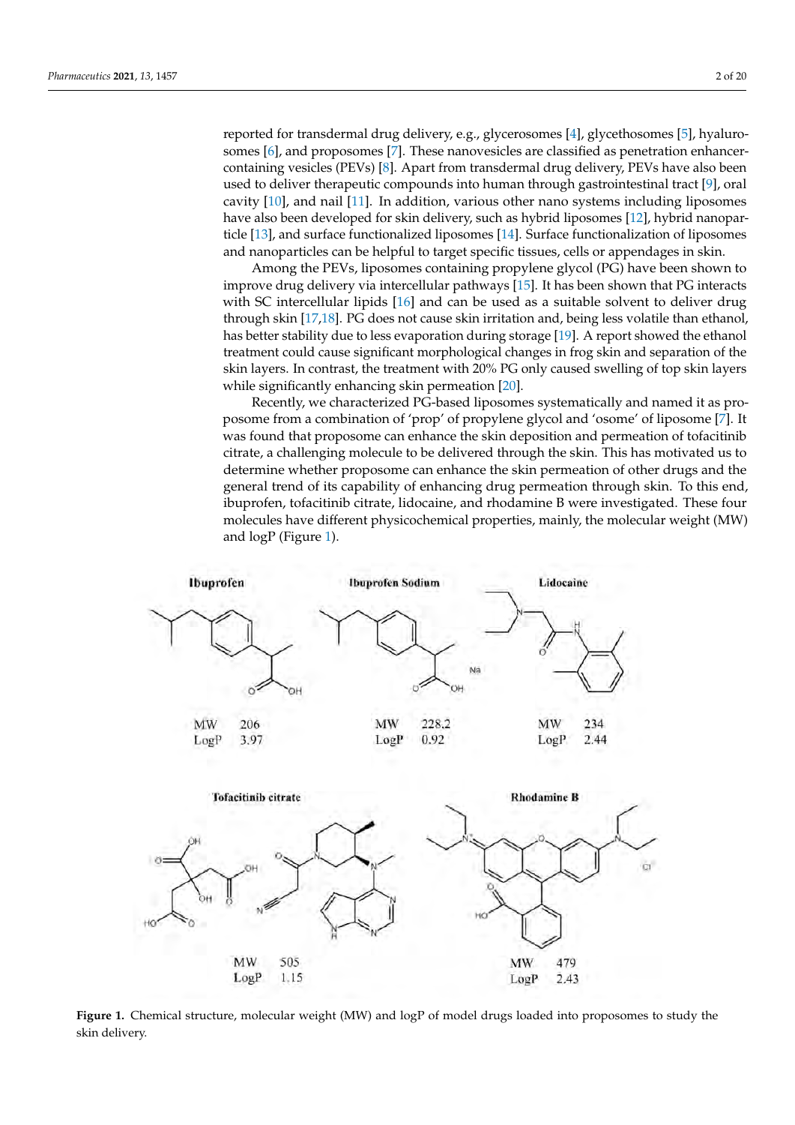reported for transdermal drug delivery, e.g., glycerosomes [\[4\]](#page-16-3), glycethosomes [\[5\]](#page-16-4), hyalurosomes [\[6\]](#page-16-5), and proposomes [\[7\]](#page-16-6). These nanovesicles are classified as penetration enhancercontaining vesicles (PEVs) [\[8\]](#page-16-7). Apart from transdermal drug delivery, PEVs have also been used to deliver therapeutic compounds into human through gastrointestinal tract [\[9\]](#page-17-0), oral cavity [\[10\]](#page-17-1), and nail [\[11\]](#page-17-2). In addition, various other nano systems including liposomes have also been developed for skin delivery, such as hybrid liposomes [\[12\]](#page-17-3), hybrid nanoparticle [\[13\]](#page-17-4), and surface functionalized liposomes [\[14\]](#page-17-5). Surface functionalization of liposomes and nanoparticles can be helpful to target specific tissues, cells or appendages in skin.

Among the PEVs, liposomes containing propylene glycol (PG) have been shown to improve drug delivery via intercellular pathways [\[15\]](#page-17-6). It has been shown that PG interacts with SC intercellular lipids [\[16\]](#page-17-7) and can be used as a suitable solvent to deliver drug through skin [\[17](#page-17-8)[,18\]](#page-17-9). PG does not cause skin irritation and, being less volatile than ethanol, has better stability due to less evaporation during storage [\[19\]](#page-17-10). A report showed the ethanol treatment could cause significant morphological changes in frog skin and separation of the skin layers. In contrast, the treatment with 20% PG only caused swelling of top skin layers while significantly enhancing skin permeation [\[20\]](#page-17-11).

Recently, we characterized PG-based liposomes systematically and named it as proposome from a combination of 'prop' of propylene glycol and 'osome' of liposome [\[7\]](#page-16-6). It was found that proposome can enhance the skin deposition and permeation of tofacitinib citrate, a challenging molecule to be delivered through the skin. This has motivated us to determine whether proposome can enhance the skin permeation of other drugs and the general trend of its capability of enhancing drug permeation through skin. To this end, ibuprofen, tofacitinib citrate, lidocaine, and rhodamine B were investigated. These four molecules have different physicochemical properties, mainly, the molecular weight (MW) and logP (Figure [1\)](#page-1-0).

<span id="page-1-0"></span>

**Figure 1.** Chemical structure, molecular weight (MW) and logP of model drugs loaded into proposomes to study the skin delivery.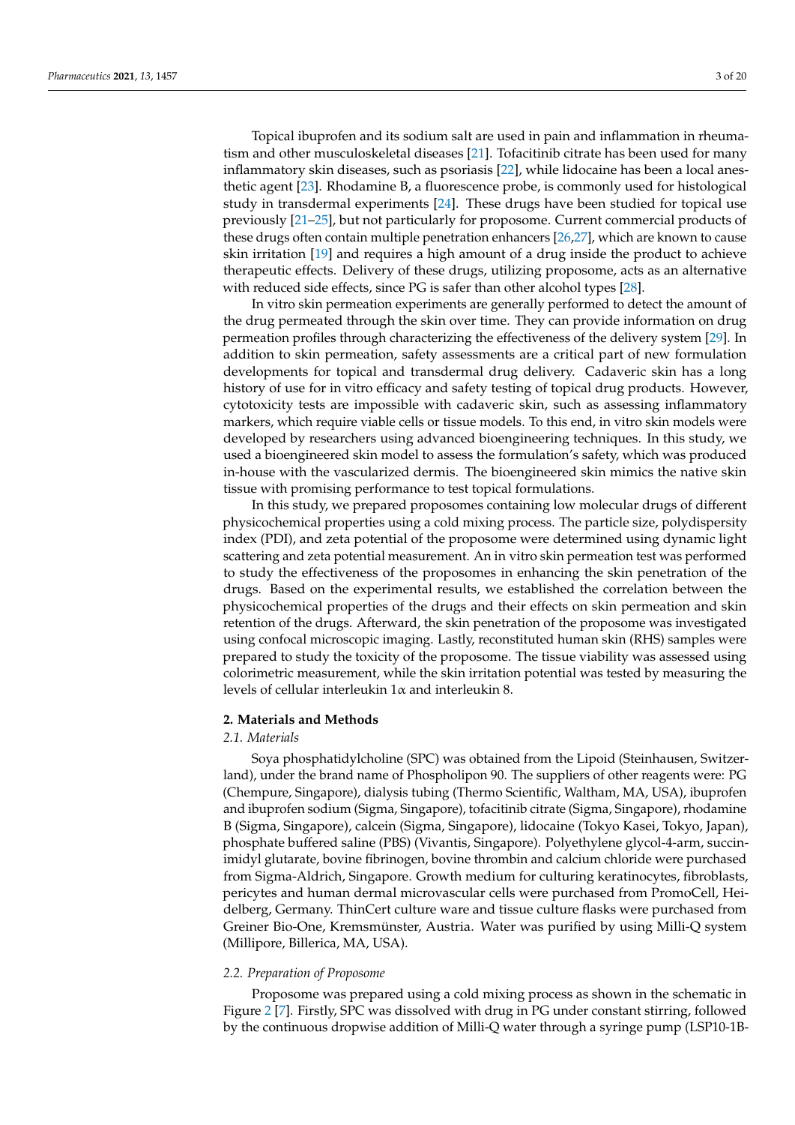Topical ibuprofen and its sodium salt are used in pain and inflammation in rheumatism and other musculoskeletal diseases [\[21\]](#page-17-12). Tofacitinib citrate has been used for many inflammatory skin diseases, such as psoriasis [\[22\]](#page-17-13), while lidocaine has been a local anesthetic agent [\[23\]](#page-17-14). Rhodamine B, a fluorescence probe, is commonly used for histological study in transdermal experiments [\[24\]](#page-17-15). These drugs have been studied for topical use previously [\[21–](#page-17-12)[25\]](#page-17-16), but not particularly for proposome. Current commercial products of these drugs often contain multiple penetration enhancers [\[26,](#page-17-17)[27\]](#page-17-18), which are known to cause skin irritation [\[19\]](#page-17-10) and requires a high amount of a drug inside the product to achieve therapeutic effects. Delivery of these drugs, utilizing proposome, acts as an alternative with reduced side effects, since PG is safer than other alcohol types [\[28\]](#page-17-19).

In vitro skin permeation experiments are generally performed to detect the amount of the drug permeated through the skin over time. They can provide information on drug permeation profiles through characterizing the effectiveness of the delivery system [\[29\]](#page-17-20). In addition to skin permeation, safety assessments are a critical part of new formulation developments for topical and transdermal drug delivery. Cadaveric skin has a long history of use for in vitro efficacy and safety testing of topical drug products. However, cytotoxicity tests are impossible with cadaveric skin, such as assessing inflammatory markers, which require viable cells or tissue models. To this end, in vitro skin models were developed by researchers using advanced bioengineering techniques. In this study, we used a bioengineered skin model to assess the formulation's safety, which was produced in-house with the vascularized dermis. The bioengineered skin mimics the native skin tissue with promising performance to test topical formulations.

In this study, we prepared proposomes containing low molecular drugs of different physicochemical properties using a cold mixing process. The particle size, polydispersity index (PDI), and zeta potential of the proposome were determined using dynamic light scattering and zeta potential measurement. An in vitro skin permeation test was performed to study the effectiveness of the proposomes in enhancing the skin penetration of the drugs. Based on the experimental results, we established the correlation between the physicochemical properties of the drugs and their effects on skin permeation and skin retention of the drugs. Afterward, the skin penetration of the proposome was investigated using confocal microscopic imaging. Lastly, reconstituted human skin (RHS) samples were prepared to study the toxicity of the proposome. The tissue viability was assessed using colorimetric measurement, while the skin irritation potential was tested by measuring the levels of cellular interleukin 1α and interleukin 8.

#### **2. Materials and Methods**

## *2.1. Materials*

Soya phosphatidylcholine (SPC) was obtained from the Lipoid (Steinhausen, Switzerland), under the brand name of Phospholipon 90. The suppliers of other reagents were: PG (Chempure, Singapore), dialysis tubing (Thermo Scientific, Waltham, MA, USA), ibuprofen and ibuprofen sodium (Sigma, Singapore), tofacitinib citrate (Sigma, Singapore), rhodamine B (Sigma, Singapore), calcein (Sigma, Singapore), lidocaine (Tokyo Kasei, Tokyo, Japan), phosphate buffered saline (PBS) (Vivantis, Singapore). Polyethylene glycol-4-arm, succinimidyl glutarate, bovine fibrinogen, bovine thrombin and calcium chloride were purchased from Sigma-Aldrich, Singapore. Growth medium for culturing keratinocytes, fibroblasts, pericytes and human dermal microvascular cells were purchased from PromoCell, Heidelberg, Germany. ThinCert culture ware and tissue culture flasks were purchased from Greiner Bio-One, Kremsmünster, Austria. Water was purified by using Milli-Q system (Millipore, Billerica, MA, USA).

#### *2.2. Preparation of Proposome*

Proposome was prepared using a cold mixing process as shown in the schematic in Figure [2](#page-3-0) [\[7\]](#page-16-6). Firstly, SPC was dissolved with drug in PG under constant stirring, followed by the continuous dropwise addition of Milli-Q water through a syringe pump (LSP10-1B-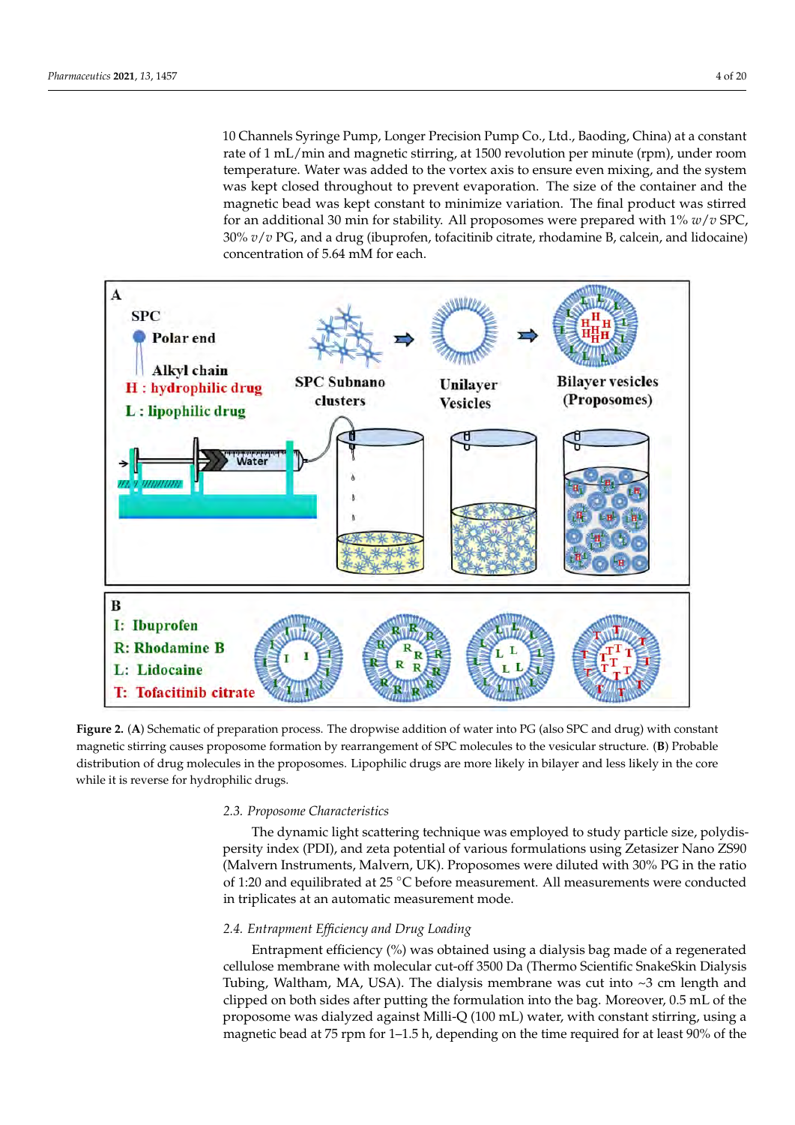10 Channels Syringe Pump, Longer Precision Pump Co., Ltd., Baoding, China) at a constant rate of 1 mL/min and magnetic stirring, at 1500 revolution per minute (rpm), under room temperature. Water was added to the vortex axis to ensure even mixing, and the system was kept closed throughout to prevent evaporation. The size of the container and the magnetic bead was kept constant to minimize variation. The final product was stirred for an additional 30 min for stability. All proposomes were prepared with 1% *w*/*v* SPC, 30% *v*/*v* PG, and a drug (ibuprofen, tofacitinib citrate, rhodamine B, calcein, and lidocaine) concentration of 5.64 mM for each.

<span id="page-3-0"></span>

**Figure 2.** (**A**) Schematic of preparation process. The dropwise addition of water into PG (also SPC and drug) with constant magnetic stirring causes proposome formation by rearrangement of SPC molecules to the vesicular structure. (**B**) Probable distribution of drug molecules in the proposomes. Lipophilic drugs are more likely in bilayer and less likely in the core while it is reverse for hydrophilic drugs.

## *2.3. Proposome Characteristics*

The dynamic light scattering technique was employed to study particle size, polydispersity index (PDI), and zeta potential of various formulations using Zetasizer Nano ZS90 (Malvern Instruments, Malvern, UK). Proposomes were diluted with 30% PG in the ratio of 1:20 and equilibrated at 25 ◦C before measurement. All measurements were conducted in triplicates at an automatic measurement mode.

## *2.4. Entrapment Efficiency and Drug Loading*

Entrapment efficiency (%) was obtained using a dialysis bag made of a regenerated cellulose membrane with molecular cut-off 3500 Da (Thermo Scientific SnakeSkin Dialysis Tubing, Waltham, MA, USA). The dialysis membrane was cut into ~3 cm length and clipped on both sides after putting the formulation into the bag. Moreover, 0.5 mL of the proposome was dialyzed against Milli-Q (100 mL) water, with constant stirring, using a magnetic bead at 75 rpm for 1–1.5 h, depending on the time required for at least 90% of the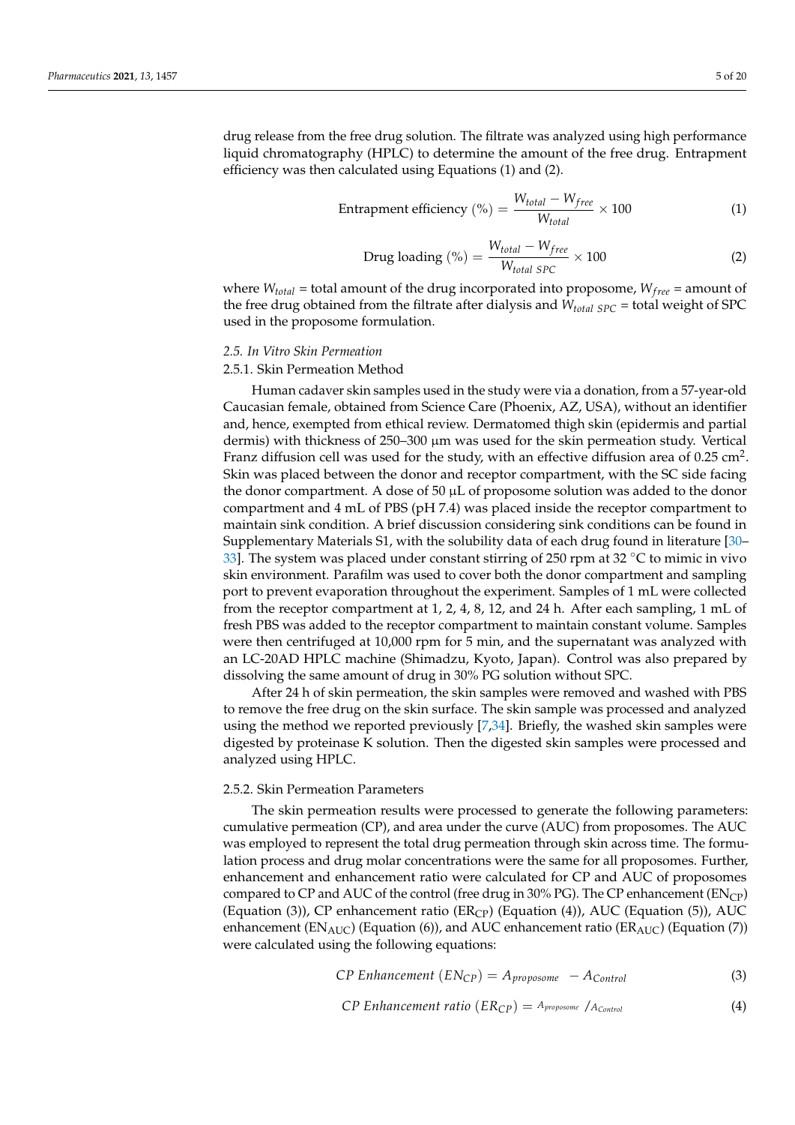drug release from the free drug solution. The filtrate was analyzed using high performance liquid chromatography (HPLC) to determine the amount of the free drug. Entrapment efficiency was then calculated using Equations (1) and (2).

$$
Entrapment efficiency (\%) = \frac{W_{total} - W_{free}}{W_{total}} \times 100
$$
 (1)

$$
Drug loading (\%) = \frac{W_{total} - W_{free}}{W_{total \, SPC}} \times 100
$$
 (2)

where  $W_{total}$  = total amount of the drug incorporated into proposome,  $W_{free}$  = amount of the free drug obtained from the filtrate after dialysis and *Wtotal SPC* = total weight of SPC used in the proposome formulation.

#### *2.5. In Vitro Skin Permeation*

#### 2.5.1. Skin Permeation Method

Human cadaver skin samples used in the study were via a donation, from a 57-year-old Caucasian female, obtained from Science Care (Phoenix, AZ, USA), without an identifier and, hence, exempted from ethical review. Dermatomed thigh skin (epidermis and partial dermis) with thickness of 250–300 µm was used for the skin permeation study. Vertical Franz diffusion cell was used for the study, with an effective diffusion area of 0.25  $\text{cm}^2$ . Skin was placed between the donor and receptor compartment, with the SC side facing the donor compartment. A dose of  $50 \mu L$  of proposome solution was added to the donor compartment and 4 mL of PBS (pH 7.4) was placed inside the receptor compartment to maintain sink condition. A brief discussion considering sink conditions can be found in Supplementary Materials S1, with the solubility data of each drug found in literature [\[30–](#page-17-21) [33\]](#page-17-22). The system was placed under constant stirring of 250 rpm at 32  $\degree$ C to mimic in vivo skin environment. Parafilm was used to cover both the donor compartment and sampling port to prevent evaporation throughout the experiment. Samples of 1 mL were collected from the receptor compartment at 1, 2, 4, 8, 12, and 24 h. After each sampling, 1 mL of fresh PBS was added to the receptor compartment to maintain constant volume. Samples were then centrifuged at 10,000 rpm for 5 min, and the supernatant was analyzed with an LC-20AD HPLC machine (Shimadzu, Kyoto, Japan). Control was also prepared by dissolving the same amount of drug in 30% PG solution without SPC.

After 24 h of skin permeation, the skin samples were removed and washed with PBS to remove the free drug on the skin surface. The skin sample was processed and analyzed using the method we reported previously [\[7](#page-16-6)[,34\]](#page-17-23). Briefly, the washed skin samples were digested by proteinase K solution. Then the digested skin samples were processed and analyzed using HPLC.

#### 2.5.2. Skin Permeation Parameters

The skin permeation results were processed to generate the following parameters: cumulative permeation (CP), and area under the curve (AUC) from proposomes. The AUC was employed to represent the total drug permeation through skin across time. The formulation process and drug molar concentrations were the same for all proposomes. Further, enhancement and enhancement ratio were calculated for CP and AUC of proposomes compared to CP and AUC of the control (free drug in 30% PG). The CP enhancement ( $EN_{CP}$ ) (Equation (3)), CP enhancement ratio (ER<sub>CP</sub>) (Equation (4)), AUC (Equation (5)), AUC enhancement ( $EN_{AUC}$ ) (Equation (6)), and AUC enhancement ratio ( $ER_{AUC}$ ) (Equation (7)) were calculated using the following equations:

$$
CP\ Enhancement\ (EN_{CP}) = A_{proposome} - A_{Control}
$$
 (3)

$$
CP\ Enhancement\ ratio\ (ER_{CP}) = A_{proposome}/A_{Control}
$$
 (4)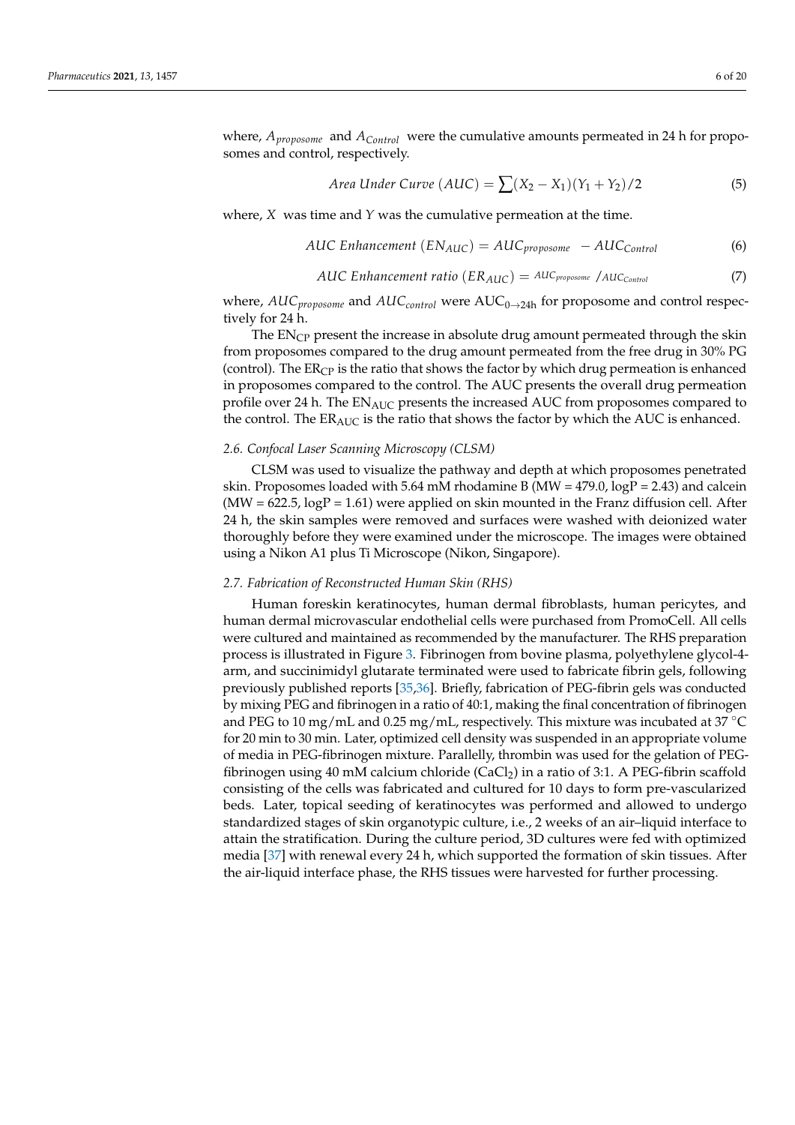where, *Aproposome* and *AControl* were the cumulative amounts permeated in 24 h for proposomes and control, respectively.

Area Under Curve 
$$
(AUC) = \sum (X_2 - X_1)(Y_1 + Y_2)/2
$$
 (5)

where, *X* was time and *Y* was the cumulative permeation at the time.

AUC Enhancement 
$$
(EN_{AUC}) = AUC_{proposome} - AUC_{Control}
$$
 (6)

AUC Enhancement ratio 
$$
(ER_{AUC}) = AUC_{proposome} / AUC_{Control}
$$
 (7)

where,  $AUC_{\text{proposome}}$  and  $AUC_{control}$  were  $AUC_{0\rightarrow 24h}$  for proposome and control respectively for 24 h.

The  $EN<sub>CP</sub>$  present the increase in absolute drug amount permeated through the skin from proposomes compared to the drug amount permeated from the free drug in 30% PG (control). The  $ER<sub>CP</sub>$  is the ratio that shows the factor by which drug permeation is enhanced in proposomes compared to the control. The AUC presents the overall drug permeation profile over 24 h. The ENAUC presents the increased AUC from proposomes compared to the control. The  $ER_{AUC}$  is the ratio that shows the factor by which the AUC is enhanced.

#### *2.6. Confocal Laser Scanning Microscopy (CLSM)*

CLSM was used to visualize the pathway and depth at which proposomes penetrated skin. Proposomes loaded with 5.64 mM rhodamine B (MW =  $479.0$ ,  $logP = 2.43$ ) and calcein  $(MW = 622.5, logP = 1.61)$  were applied on skin mounted in the Franz diffusion cell. After 24 h, the skin samples were removed and surfaces were washed with deionized water thoroughly before they were examined under the microscope. The images were obtained using a Nikon A1 plus Ti Microscope (Nikon, Singapore).

#### *2.7. Fabrication of Reconstructed Human Skin (RHS)*

Human foreskin keratinocytes, human dermal fibroblasts, human pericytes, and human dermal microvascular endothelial cells were purchased from PromoCell. All cells were cultured and maintained as recommended by the manufacturer. The RHS preparation process is illustrated in Figure [3.](#page-6-0) Fibrinogen from bovine plasma, polyethylene glycol-4 arm, and succinimidyl glutarate terminated were used to fabricate fibrin gels, following previously published reports [\[35](#page-17-24)[,36\]](#page-18-0). Briefly, fabrication of PEG-fibrin gels was conducted by mixing PEG and fibrinogen in a ratio of 40:1, making the final concentration of fibrinogen and PEG to 10 mg/mL and 0.25 mg/mL, respectively. This mixture was incubated at 37 ◦C for 20 min to 30 min. Later, optimized cell density was suspended in an appropriate volume of media in PEG-fibrinogen mixture. Parallelly, thrombin was used for the gelation of PEGfibrinogen using 40 mM calcium chloride  $(CaCl<sub>2</sub>)$  in a ratio of 3:1. A PEG-fibrin scaffold consisting of the cells was fabricated and cultured for 10 days to form pre-vascularized beds. Later, topical seeding of keratinocytes was performed and allowed to undergo standardized stages of skin organotypic culture, i.e., 2 weeks of an air–liquid interface to attain the stratification. During the culture period, 3D cultures were fed with optimized media [\[37\]](#page-18-1) with renewal every 24 h, which supported the formation of skin tissues. After the air-liquid interface phase, the RHS tissues were harvested for further processing.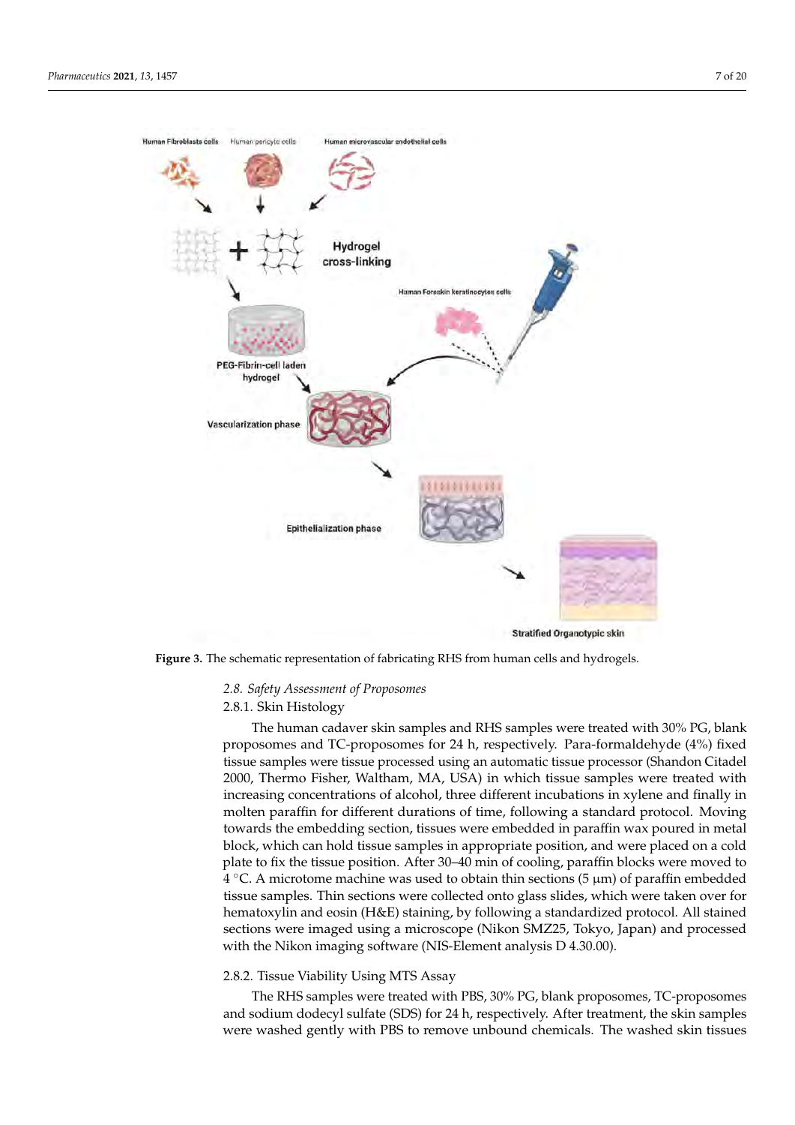<span id="page-6-0"></span>

**Figure 3.** The schematic representation of fabricating RHS from human cells and hydrogels.

# *2.8. Safety Assessment of Proposomes*

## 2.8.1. Skin Histology

The human cadaver skin samples and RHS samples were treated with 30% PG, blank proposomes and TC-proposomes for 24 h, respectively. Para-formaldehyde (4%) fixed tissue samples were tissue processed using an automatic tissue processor (Shandon Citadel 2000, Thermo Fisher, Waltham, MA, USA) in which tissue samples were treated with increasing concentrations of alcohol, three different incubations in xylene and finally in molten paraffin for different durations of time, following a standard protocol. Moving towards the embedding section, tissues were embedded in paraffin wax poured in metal block, which can hold tissue samples in appropriate position, and were placed on a cold plate to fix the tissue position. After 30–40 min of cooling, paraffin blocks were moved to  $\frac{4}{3}$  °C. A microtome machine was used to obtain thin sections (5  $\mu$ m) of paraffin embedded tissue samples. Thin sections were collected onto glass slides, which were taken over for hematoxylin and eosin (H&E) staining, by following a standardized protocol. All stained sections were imaged using a microscope (Nikon SMZ25, Tokyo, Japan) and processed with the Nikon imaging software (NIS-Element analysis D 4.30.00).

## 2.8.2. Tissue Viability Using MTS Assay

The RHS samples were treated with PBS, 30% PG, blank proposomes, TC-proposomes and sodium dodecyl sulfate (SDS) for 24 h, respectively. After treatment, the skin samples were washed gently with PBS to remove unbound chemicals. The washed skin tissues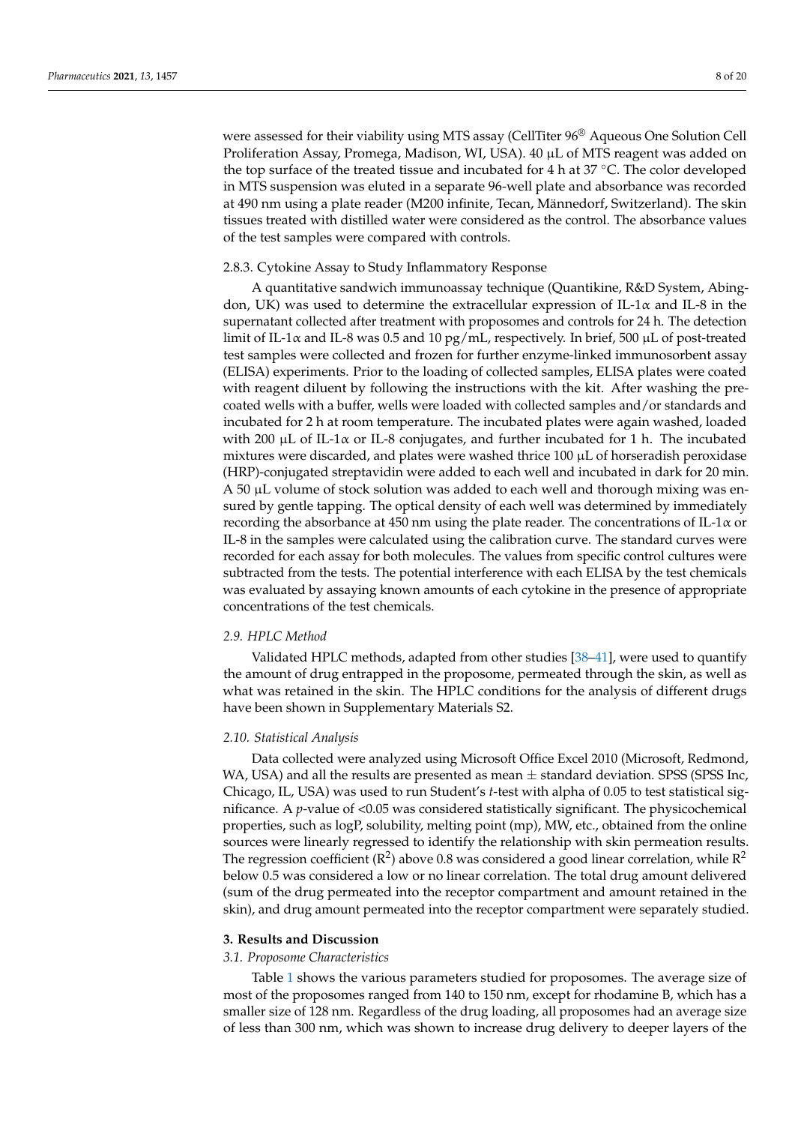were assessed for their viability using MTS assay (CellTiter 96® Aqueous One Solution Cell Proliferation Assay, Promega, Madison, WI, USA). 40 µL of MTS reagent was added on the top surface of the treated tissue and incubated for 4 h at 37 °C. The color developed in MTS suspension was eluted in a separate 96-well plate and absorbance was recorded at 490 nm using a plate reader (M200 infinite, Tecan, Männedorf, Switzerland). The skin tissues treated with distilled water were considered as the control. The absorbance values of the test samples were compared with controls.

#### 2.8.3. Cytokine Assay to Study Inflammatory Response

A quantitative sandwich immunoassay technique (Quantikine, R&D System, Abingdon, UK) was used to determine the extracellular expression of IL-1 $\alpha$  and IL-8 in the supernatant collected after treatment with proposomes and controls for 24 h. The detection limit of IL-1 $\alpha$  and IL-8 was 0.5 and 10 pg/mL, respectively. In brief, 500  $\mu$ L of post-treated test samples were collected and frozen for further enzyme-linked immunosorbent assay (ELISA) experiments. Prior to the loading of collected samples, ELISA plates were coated with reagent diluent by following the instructions with the kit. After washing the precoated wells with a buffer, wells were loaded with collected samples and/or standards and incubated for 2 h at room temperature. The incubated plates were again washed, loaded with 200  $\mu$ L of IL-1 $\alpha$  or IL-8 conjugates, and further incubated for 1 h. The incubated mixtures were discarded, and plates were washed thrice  $100 \mu L$  of horseradish peroxidase (HRP)-conjugated streptavidin were added to each well and incubated in dark for 20 min. A 50 µL volume of stock solution was added to each well and thorough mixing was ensured by gentle tapping. The optical density of each well was determined by immediately recording the absorbance at 450 nm using the plate reader. The concentrations of IL-1 $\alpha$  or IL-8 in the samples were calculated using the calibration curve. The standard curves were recorded for each assay for both molecules. The values from specific control cultures were subtracted from the tests. The potential interference with each ELISA by the test chemicals was evaluated by assaying known amounts of each cytokine in the presence of appropriate concentrations of the test chemicals.

## *2.9. HPLC Method*

Validated HPLC methods, adapted from other studies [\[38–](#page-18-2)[41\]](#page-18-3), were used to quantify the amount of drug entrapped in the proposome, permeated through the skin, as well as what was retained in the skin. The HPLC conditions for the analysis of different drugs have been shown in Supplementary Materials S2.

## *2.10. Statistical Analysis*

Data collected were analyzed using Microsoft Office Excel 2010 (Microsoft, Redmond, WA, USA) and all the results are presented as mean  $\pm$  standard deviation. SPSS (SPSS Inc, Chicago, IL, USA) was used to run Student's *t*-test with alpha of 0.05 to test statistical significance. A *p*-value of <0.05 was considered statistically significant. The physicochemical properties, such as logP, solubility, melting point (mp), MW, etc., obtained from the online sources were linearly regressed to identify the relationship with skin permeation results. The regression coefficient ( $\mathbb{R}^2$ ) above 0.8 was considered a good linear correlation, while  $\mathbb{R}^2$ below 0.5 was considered a low or no linear correlation. The total drug amount delivered (sum of the drug permeated into the receptor compartment and amount retained in the skin), and drug amount permeated into the receptor compartment were separately studied.

#### **3. Results and Discussion**

## *3.1. Proposome Characteristics*

Table [1](#page-8-0) shows the various parameters studied for proposomes. The average size of most of the proposomes ranged from 140 to 150 nm, except for rhodamine B, which has a smaller size of 128 nm. Regardless of the drug loading, all proposomes had an average size of less than 300 nm, which was shown to increase drug delivery to deeper layers of the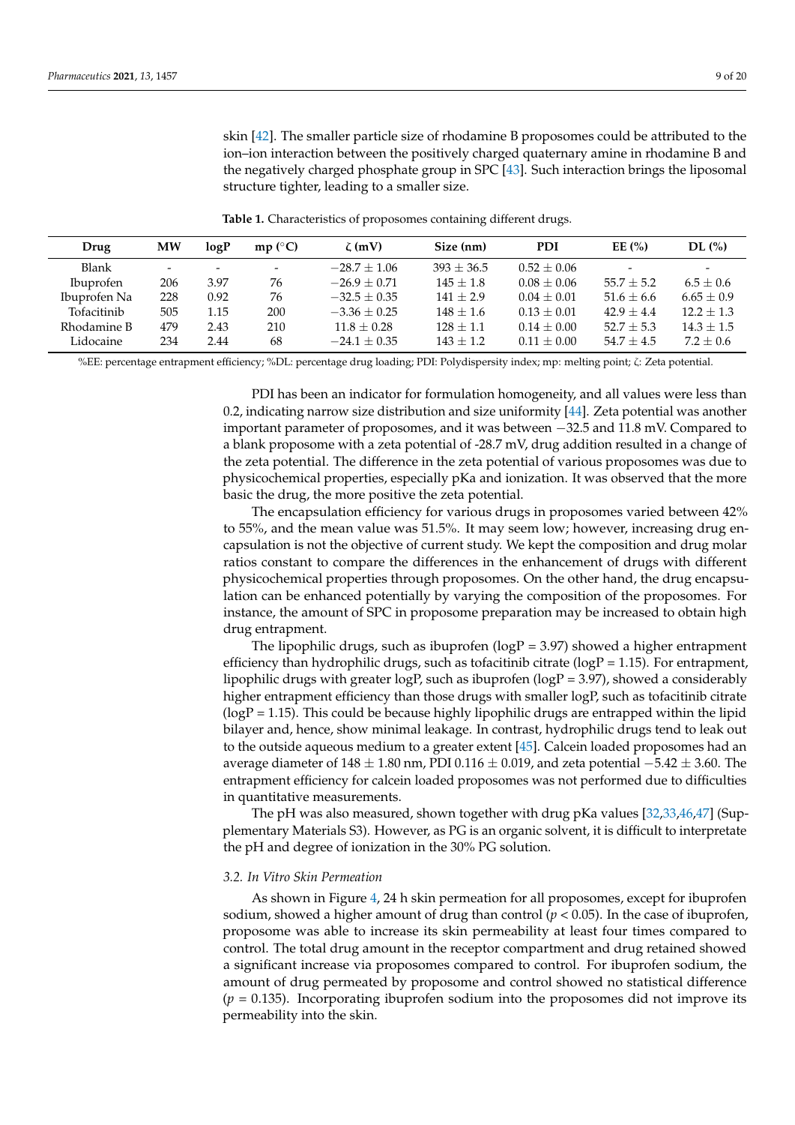skin [\[42\]](#page-18-4). The smaller particle size of rhodamine B proposomes could be attributed to the ion–ion interaction between the positively charged quaternary amine in rhodamine B and the negatively charged phosphate group in SPC [\[43\]](#page-18-5). Such interaction brings the liposomal structure tighter, leading to a smaller size.

<span id="page-8-0"></span>**Drug MW logP mp (**◦**C)** ζ **(mV) Size (nm) PDI EE (%) DL (%)** Blank - - - - -  $-28.7 \pm 1.06$   $393 \pm 36.5$   $0.52 \pm 0.06$  - -<code>Ibuprofen 206 3.97 76  $-26.9 \pm 0.71$   $145 \pm 1.8$   $0.08 \pm 0.06$   $55.7 \pm 5.2$   $6.5 \pm 0.6$ </code> **Ibuprofen Na** 228 0.92 76  $-32.5 \pm 0.35$  141  $\pm 2.9$  0.04  $\pm$  0.01  $51.6 \pm 6.6$  6.65  $\pm$  0.9 Tofacitinib 505 1.15 200  $-3.36 \pm 0.25$  148  $\pm 1.6$   $0.13 \pm 0.01$   $42.9 \pm 4.4$  12.2  $\pm 1.3$ Rhodamine B  $479$   $2.43$   $210$   $11.8 \pm 0.28$   $128 \pm 1.1$   $0.14 \pm 0.00$   $52.7 \pm 5.3$   $14.3 \pm 1.5$ Lidocaine 234 2.44 68 −24.1 ± 0.35 143 ± 1.2 0.11 ± 0.00 54.7 ± 4.5 7.2 ± 0.6

**Table 1.** Characteristics of proposomes containing different drugs.

%EE: percentage entrapment efficiency; %DL: percentage drug loading; PDI: Polydispersity index; mp: melting point; ζ: Zeta potential.

PDI has been an indicator for formulation homogeneity, and all values were less than 0.2, indicating narrow size distribution and size uniformity [\[44\]](#page-18-6). Zeta potential was another important parameter of proposomes, and it was between −32.5 and 11.8 mV. Compared to a blank proposome with a zeta potential of -28.7 mV, drug addition resulted in a change of the zeta potential. The difference in the zeta potential of various proposomes was due to physicochemical properties, especially pKa and ionization. It was observed that the more basic the drug, the more positive the zeta potential.

The encapsulation efficiency for various drugs in proposomes varied between 42% to 55%, and the mean value was 51.5%. It may seem low; however, increasing drug encapsulation is not the objective of current study. We kept the composition and drug molar ratios constant to compare the differences in the enhancement of drugs with different physicochemical properties through proposomes. On the other hand, the drug encapsulation can be enhanced potentially by varying the composition of the proposomes. For instance, the amount of SPC in proposome preparation may be increased to obtain high drug entrapment.

The lipophilic drugs, such as ibuprofen ( $logP = 3.97$ ) showed a higher entrapment efficiency than hydrophilic drugs, such as to facitinib citrate ( $logP = 1.15$ ). For entrapment, lipophilic drugs with greater logP, such as ibuprofen ( $logP = 3.97$ ), showed a considerably higher entrapment efficiency than those drugs with smaller logP, such as tofacitinib citrate  $(logP = 1.15)$ . This could be because highly lipophilic drugs are entrapped within the lipid bilayer and, hence, show minimal leakage. In contrast, hydrophilic drugs tend to leak out to the outside aqueous medium to a greater extent [\[45\]](#page-18-7). Calcein loaded proposomes had an average diameter of  $148 \pm 1.80$  nm, PDI 0.116  $\pm$  0.019, and zeta potential  $-5.42 \pm 3.60$ . The entrapment efficiency for calcein loaded proposomes was not performed due to difficulties in quantitative measurements.

The pH was also measured, shown together with drug pKa values [\[32,](#page-17-25)[33,](#page-17-22)[46](#page-18-8)[,47\]](#page-18-9) (Supplementary Materials S3). However, as PG is an organic solvent, it is difficult to interpretate the pH and degree of ionization in the 30% PG solution.

### *3.2. In Vitro Skin Permeation*

As shown in Figure [4,](#page-9-0) 24 h skin permeation for all proposomes, except for ibuprofen sodium, showed a higher amount of drug than control ( $p < 0.05$ ). In the case of ibuprofen, proposome was able to increase its skin permeability at least four times compared to control. The total drug amount in the receptor compartment and drug retained showed a significant increase via proposomes compared to control. For ibuprofen sodium, the amount of drug permeated by proposome and control showed no statistical difference  $(p = 0.135)$ . Incorporating ibuprofen sodium into the proposomes did not improve its permeability into the skin.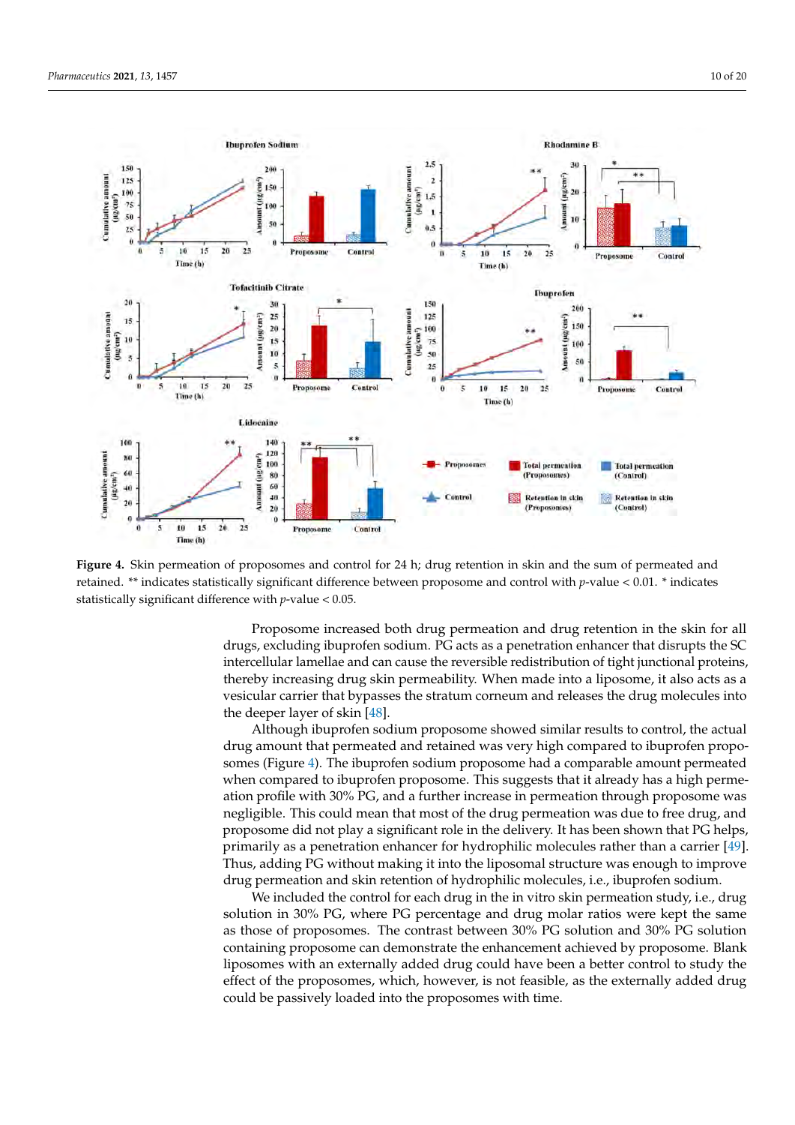

<span id="page-9-0"></span>

**Figure 4.** Skin permeation of proposomes and control for 24 h; drug retention in skin and the sum of permeated and retained. \*\* indicates statistically significant difference between proposome and control with *p*-value < 0.01. \* indicates statistically significant difference with *p*-value < 0.05.

Proposome increased both drug permeation and drug retention in the skin for all drugs, excluding ibuprofen sodium. PG acts as a penetration enhancer that disrupts the SC intercellular lamellae and can cause the reversible redistribution of tight junctional proteins, thereby increasing drug skin permeability. When made into a liposome, it also acts as a vesicular carrier that bypasses the stratum corneum and releases the drug molecules into the deeper layer of skin [\[48\]](#page-18-10).

Although ibuprofen sodium proposome showed similar results to control, the actual drug amount that permeated and retained was very high compared to ibuprofen proposomes (Figure [4\)](#page-9-0). The ibuprofen sodium proposome had a comparable amount permeated when compared to ibuprofen proposome. This suggests that it already has a high permeation profile with 30% PG, and a further increase in permeation through proposome was negligible. This could mean that most of the drug permeation was due to free drug, and proposome did not play a significant role in the delivery. It has been shown that PG helps, primarily as a penetration enhancer for hydrophilic molecules rather than a carrier [\[49\]](#page-18-11). Thus, adding PG without making it into the liposomal structure was enough to improve drug permeation and skin retention of hydrophilic molecules, i.e., ibuprofen sodium.

We included the control for each drug in the in vitro skin permeation study, i.e., drug solution in 30% PG, where PG percentage and drug molar ratios were kept the same as those of proposomes. The contrast between 30% PG solution and 30% PG solution containing proposome can demonstrate the enhancement achieved by proposome. Blank liposomes with an externally added drug could have been a better control to study the effect of the proposomes, which, however, is not feasible, as the externally added drug could be passively loaded into the proposomes with time.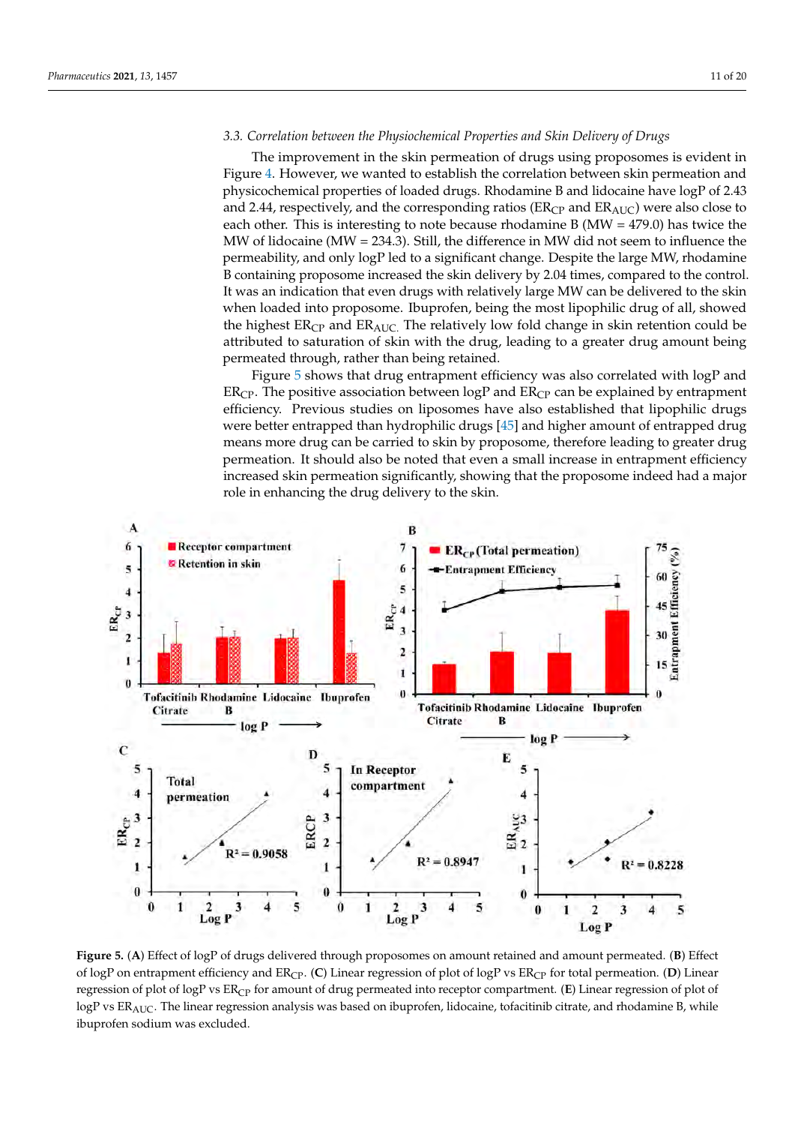## *3.3. Correlation between the Physiochemical Properties and Skin Delivery of Drugs*

The improvement in the skin permeation of drugs using proposomes is evident in Figure [4.](#page-9-0) However, we wanted to establish the correlation between skin permeation and physicochemical properties of loaded drugs. Rhodamine B and lidocaine have logP of 2.43 and 2.44, respectively, and the corresponding ratios ( $ER<sub>CP</sub>$  and  $ER<sub>AUC</sub>$ ) were also close to each other. This is interesting to note because rhodamine B (MW = 479.0) has twice the MW of lidocaine (MW = 234.3). Still, the difference in MW did not seem to influence the permeability, and only logP led to a significant change. Despite the large MW, rhodamine B containing proposome increased the skin delivery by 2.04 times, compared to the control. It was an indication that even drugs with relatively large MW can be delivered to the skin when loaded into proposome. Ibuprofen, being the most lipophilic drug of all, showed the highest  $ER_{CP}$  and  $ER_{AUC}$ . The relatively low fold change in skin retention could be attributed to saturation of skin with the drug, leading to a greater drug amount being permeated through, rather than being retained.

Figure [5](#page-10-0) shows that drug entrapment efficiency was also correlated with logP and  $ER<sub>CP</sub>$ . The positive association between logP and  $ER<sub>CP</sub>$  can be explained by entrapment efficiency. Previous studies on liposomes have also established that lipophilic drugs were better entrapped than hydrophilic drugs [\[45\]](#page-18-7) and higher amount of entrapped drug means more drug can be carried to skin by proposome, therefore leading to greater drug permeation. It should also be noted that even a small increase in entrapment efficiency increased skin permeation significantly, showing that the proposome indeed had a major role in enhancing the drug delivery to the skin.

<span id="page-10-0"></span>

**Figure 5.** (**A**) Effect of logP of drugs delivered through proposomes on amount retained and amount permeated. (**B**) Effect of logP on entrapment efficiency and ER<sub>CP</sub>. (C) Linear regression of plot of logP vs ER<sub>CP</sub> for total permeation. (D) Linear regression of plot of logP vs ER<sub>CP</sub> for amount of drug permeated into receptor compartment. (**E**) Linear regression of plot of  $logP$  vs  $ER_{AUC}$ . The linear regression analysis was based on ibuprofen, lidocaine, tofacitinib citrate, and rhodamine B, while ibuprofen sodium was excluded.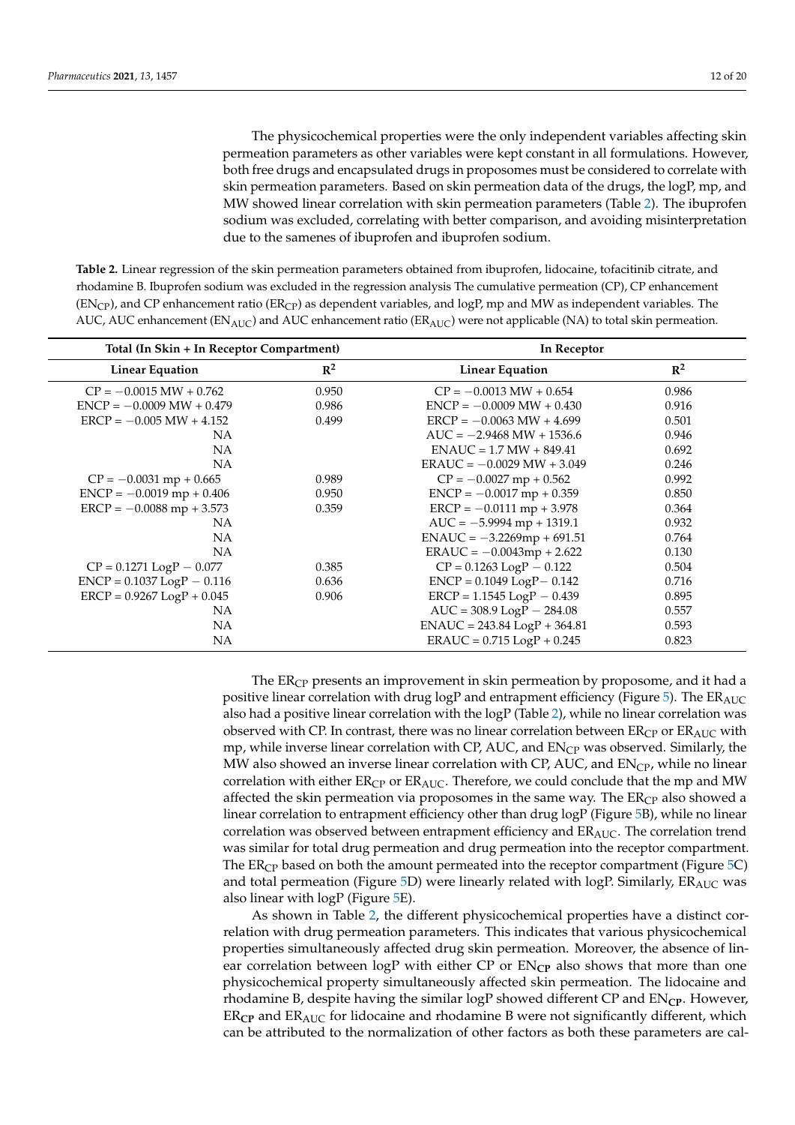The physicochemical properties were the only independent variables affecting skin permeation parameters as other variables were kept constant in all formulations. However, both free drugs and encapsulated drugs in proposomes must be considered to correlate with skin permeation parameters. Based on skin permeation data of the drugs, the logP, mp, and MW showed linear correlation with skin permeation parameters (Table [2\)](#page-11-0). The ibuprofen sodium was excluded, correlating with better comparison, and avoiding misinterpretation due to the samenes of ibuprofen and ibuprofen sodium.

<span id="page-11-0"></span>**Table 2.** Linear regression of the skin permeation parameters obtained from ibuprofen, lidocaine, tofacitinib citrate, and rhodamine B. Ibuprofen sodium was excluded in the regression analysis The cumulative permeation (CP), CP enhancement  $(EN<sub>CP</sub>)$ , and CP enhancement ratio  $(ER<sub>CP</sub>)$  as dependent variables, and logP, mp and MW as independent variables. The AUC, AUC enhancement ( $EN_{AUC}$ ) and AUC enhancement ratio ( $ER_{AUC}$ ) were not applicable (NA) to total skin permeation.

| Total (In Skin + In Receptor Compartment) |                | In Receptor                                |                |
|-------------------------------------------|----------------|--------------------------------------------|----------------|
| <b>Linear Equation</b>                    | $\mathbb{R}^2$ | <b>Linear Equation</b>                     | $\mathbb{R}^2$ |
| $CP = -0.0015 MW + 0.762$                 | 0.950          | $CP = -0.0013$ MW + 0.654                  | 0.986          |
| $ENCP = -0.0009 MW + 0.479$               | 0.986          | $ENCP = -0.0009 MW + 0.430$                | 0.916          |
| $ERCP = -0.005 MW + 4.152$                | 0.499          | $ERCP = -0.0063 MW + 4.699$                | 0.501          |
| NA                                        |                | $AUC = -2.9468 MW + 1536.6$                | 0.946          |
| NA                                        |                | $ENAUC = 1.7 MW + 849.41$                  | 0.692          |
| NA                                        |                | $ERAUC = -0.0029 MW + 3.049$               | 0.246          |
| $CP = -0.0031$ mp + 0.665                 | 0.989          | $CP = -0.0027$ mp + 0.562                  | 0.992          |
| $ENCP = -0.0019$ mp + 0.406               | 0.950          | $ENCP = -0.0017 mp + 0.359$                | 0.850          |
| $ERCP = -0.0088$ mp + 3.573               | 0.359          | $\text{ERCP} = -0.0111 \text{ mp} + 3.978$ | 0.364          |
| NA                                        |                | $AUC = -5.9994$ mp + 1319.1                | 0.932          |
| NA                                        |                | $ENAUC = -3.2269mp + 691.51$               | 0.764          |
| <b>NA</b>                                 |                | $ERAUC = -0.0043mp + 2.622$                | 0.130          |
| $CP = 0.1271$ $LogP - 0.077$              | 0.385          | $CP = 0.1263$ LogP $- 0.122$               | 0.504          |
| $ENCP = 0.1037 LogP - 0.116$              | 0.636          | $ENCP = 0.1049$ $LogP - 0.142$             | 0.716          |
| $ERCP = 0.9267 LogP + 0.045$              | 0.906          | $ERCP = 1.1545 LogP - 0.439$               | 0.895          |
| NА                                        |                | $AUC = 308.9$ $LogP - 284.08$              | 0.557          |
| NА                                        |                | $ENAUC = 243.84 LogP + 364.81$             | 0.593          |
| NA                                        |                | $ERAUC = 0.715 LogP + 0.245$               | 0.823          |

The  $ER<sub>CP</sub>$  presents an improvement in skin permeation by proposome, and it had a positive linear correlation with drug logP and entrapment efficiency (Figure [5\)](#page-10-0). The ERAUC also had a positive linear correlation with the logP (Table [2\)](#page-11-0), while no linear correlation was observed with CP. In contrast, there was no linear correlation between  $ER<sub>CP</sub>$  or  $ER<sub>AUC</sub>$  with mp, while inverse linear correlation with CP, AUC, and  $EN<sub>CP</sub>$  was observed. Similarly, the MW also showed an inverse linear correlation with CP, AUC, and  $EN_{CP}$ , while no linear correlation with either  $ER_{CP}$  or  $ER_{AUC}$ . Therefore, we could conclude that the mp and MW affected the skin permeation via proposomes in the same way. The  $ER<sub>CP</sub>$  also showed a linear correlation to entrapment efficiency other than drug logP (Figure [5B](#page-10-0)), while no linear correlation was observed between entrapment efficiency and  $ER_{AUC}$ . The correlation trend was similar for total drug permeation and drug permeation into the receptor compartment. The  $ER<sub>CP</sub>$  based on both the amount permeated into the receptor compartment (Figure [5C](#page-10-0)) and total permeation (Figure [5D](#page-10-0)) were linearly related with  $logP$ . Similarly,  $ER_{AUC}$  was also linear with  $logP$  (Figure [5E](#page-10-0)).

As shown in Table [2,](#page-11-0) the different physicochemical properties have a distinct correlation with drug permeation parameters. This indicates that various physicochemical properties simultaneously affected drug skin permeation. Moreover, the absence of linear correlation between  $logP$  with either CP or  $EN_{CP}$  also shows that more than one physicochemical property simultaneously affected skin permeation. The lidocaine and rhodamine B, despite having the similar logP showed different CP and EN**CP**. However, ER**CP** and ERAUC for lidocaine and rhodamine B were not significantly different, which can be attributed to the normalization of other factors as both these parameters are cal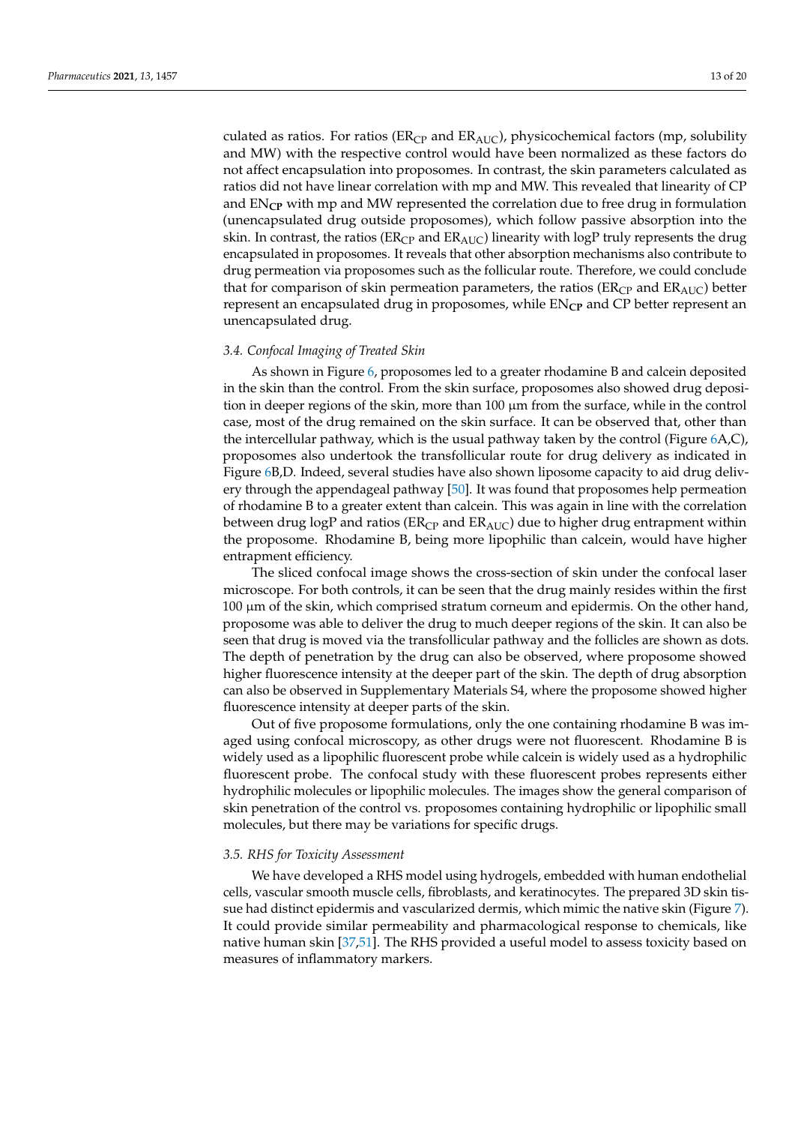culated as ratios. For ratios ( $ER<sub>CP</sub>$  and  $ER<sub>AUC</sub>$ ), physicochemical factors (mp, solubility and MW) with the respective control would have been normalized as these factors do not affect encapsulation into proposomes. In contrast, the skin parameters calculated as ratios did not have linear correlation with mp and MW. This revealed that linearity of CP and EN**CP** with mp and MW represented the correlation due to free drug in formulation (unencapsulated drug outside proposomes), which follow passive absorption into the skin. In contrast, the ratios ( $ER_{CP}$  and  $ER_{AUC}$ ) linearity with logP truly represents the drug encapsulated in proposomes. It reveals that other absorption mechanisms also contribute to drug permeation via proposomes such as the follicular route. Therefore, we could conclude that for comparison of skin permeation parameters, the ratios ( $ER<sub>CP</sub>$  and  $ER<sub>AIC</sub>$ ) better represent an encapsulated drug in proposomes, while EN<sub>CP</sub> and CP better represent an unencapsulated drug.

#### *3.4. Confocal Imaging of Treated Skin*

As shown in Figure [6,](#page-13-0) proposomes led to a greater rhodamine B and calcein deposited in the skin than the control. From the skin surface, proposomes also showed drug deposition in deeper regions of the skin, more than 100 µm from the surface, while in the control case, most of the drug remained on the skin surface. It can be observed that, other than the intercellular pathway, which is the usual pathway taken by the control (Figure [6A](#page-13-0),C), proposomes also undertook the transfollicular route for drug delivery as indicated in Figure [6B](#page-13-0),D. Indeed, several studies have also shown liposome capacity to aid drug delivery through the appendageal pathway [\[50\]](#page-18-12). It was found that proposomes help permeation of rhodamine B to a greater extent than calcein. This was again in line with the correlation between drug logP and ratios ( $ER<sub>CP</sub>$  and  $ER<sub>AUC</sub>$ ) due to higher drug entrapment within the proposome. Rhodamine B, being more lipophilic than calcein, would have higher entrapment efficiency.

The sliced confocal image shows the cross-section of skin under the confocal laser microscope. For both controls, it can be seen that the drug mainly resides within the first 100 µm of the skin, which comprised stratum corneum and epidermis. On the other hand, proposome was able to deliver the drug to much deeper regions of the skin. It can also be seen that drug is moved via the transfollicular pathway and the follicles are shown as dots. The depth of penetration by the drug can also be observed, where proposome showed higher fluorescence intensity at the deeper part of the skin. The depth of drug absorption can also be observed in Supplementary Materials S4, where the proposome showed higher fluorescence intensity at deeper parts of the skin.

Out of five proposome formulations, only the one containing rhodamine B was imaged using confocal microscopy, as other drugs were not fluorescent. Rhodamine B is widely used as a lipophilic fluorescent probe while calcein is widely used as a hydrophilic fluorescent probe. The confocal study with these fluorescent probes represents either hydrophilic molecules or lipophilic molecules. The images show the general comparison of skin penetration of the control vs. proposomes containing hydrophilic or lipophilic small molecules, but there may be variations for specific drugs.

## *3.5. RHS for Toxicity Assessment*

We have developed a RHS model using hydrogels, embedded with human endothelial cells, vascular smooth muscle cells, fibroblasts, and keratinocytes. The prepared 3D skin tissue had distinct epidermis and vascularized dermis, which mimic the native skin (Figure [7\)](#page-14-0). It could provide similar permeability and pharmacological response to chemicals, like native human skin [\[37](#page-18-1)[,51\]](#page-18-13). The RHS provided a useful model to assess toxicity based on measures of inflammatory markers.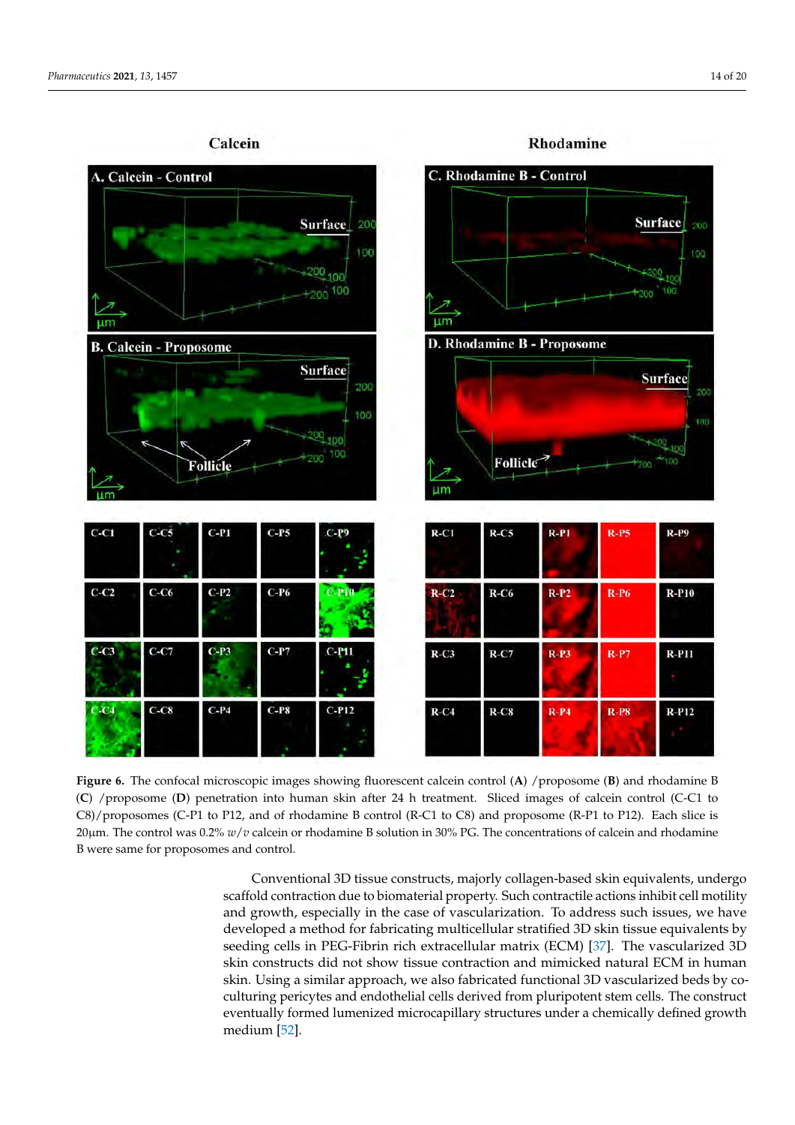<span id="page-13-0"></span>

**Figure 6.** The confocal microscopic images showing fluorescent calcein control (**A**) /proposome (**B**) and rhodamine B (**C**) /proposome (**D**) penetration into human skin after 24 h treatment. Sliced images of calcein control (C-C1 to C8)/proposomes (C-P1 to P12, and of rhodamine B control (R-C1 to C8) and proposome (R-P1 to P12). Each slice is 20µm. The control was 0.2% *w*/*v* calcein or rhodamine B solution in 30% PG. The concentrations of calcein and rhodamine B were same for proposomes and control.

Conventional 3D tissue constructs, majorly collagen-based skin equivalents, undergo scaffold contraction due to biomaterial property. Such contractile actions inhibit cell motility and growth, especially in the case of vascularization. To address such issues, we have developed a method for fabricating multicellular stratified 3D skin tissue equivalents by seeding cells in PEG-Fibrin rich extracellular matrix (ECM) [\[37\]](#page-18-1). The vascularized 3D skin constructs did not show tissue contraction and mimicked natural ECM in human skin. Using a similar approach, we also fabricated functional 3D vascularized beds by coculturing pericytes and endothelial cells derived from pluripotent stem cells. The construct eventually formed lumenized microcapillary structures under a chemically defined growth medium [\[52\]](#page-18-14).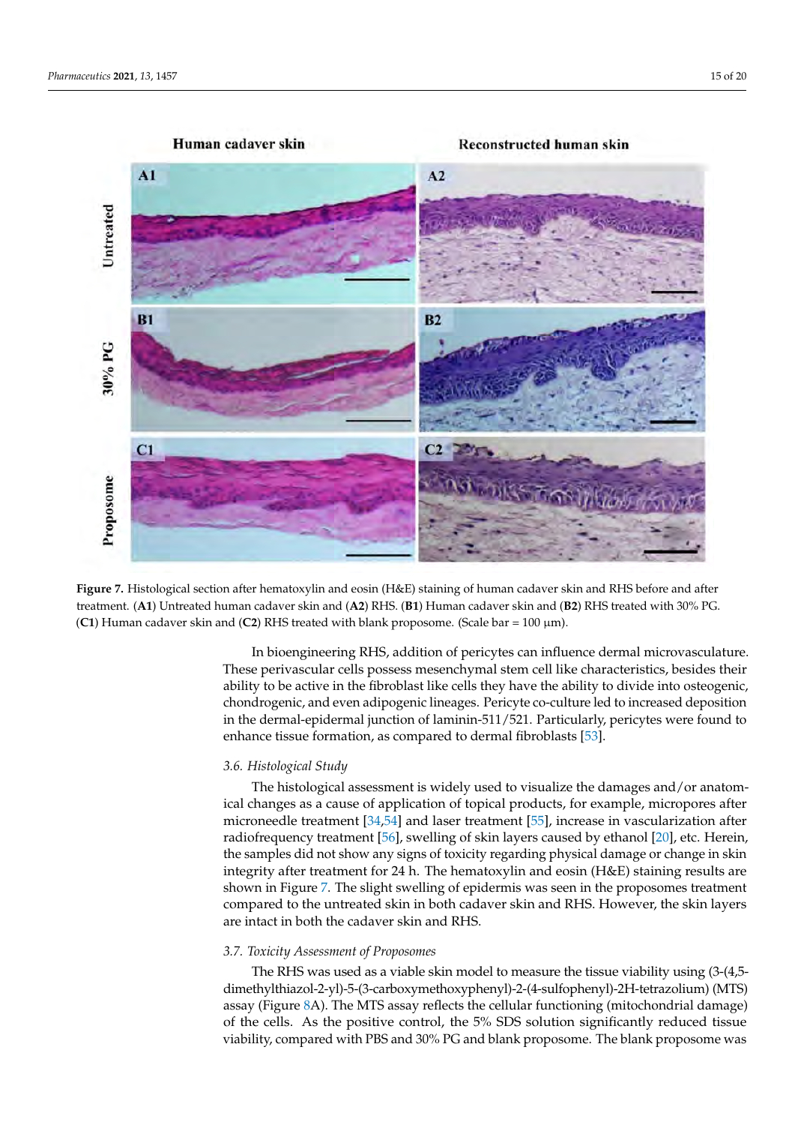<span id="page-14-0"></span>



In bioengineering RHS, addition of pericytes can influence dermal microvasculature. These perivascular cells possess mesenchymal stem cell like characteristics, besides their ability to be active in the fibroblast like cells they have the ability to divide into osteogenic, chondrogenic, and even adipogenic lineages. Pericyte co-culture led to increased deposition in the dermal-epidermal junction of laminin-511/521. Particularly, pericytes were found to enhance tissue formation, as compared to dermal fibroblasts [\[53\]](#page-18-15).

## *3.6. Histological Study*

The histological assessment is widely used to visualize the damages and/or anatomical changes as a cause of application of topical products, for example, micropores after microneedle treatment [\[34](#page-17-23)[,54\]](#page-18-16) and laser treatment [\[55\]](#page-18-17), increase in vascularization after radiofrequency treatment [\[56\]](#page-18-18), swelling of skin layers caused by ethanol [\[20\]](#page-17-11), etc. Herein, the samples did not show any signs of toxicity regarding physical damage or change in skin integrity after treatment for 24 h. The hematoxylin and eosin (H&E) staining results are shown in Figure [7.](#page-14-0) The slight swelling of epidermis was seen in the proposomes treatment compared to the untreated skin in both cadaver skin and RHS. However, the skin layers are intact in both the cadaver skin and RHS.

## *3.7. Toxicity Assessment of Proposomes*

The RHS was used as a viable skin model to measure the tissue viability using (3-(4,5 dimethylthiazol-2-yl)-5-(3-carboxymethoxyphenyl)-2-(4-sulfophenyl)-2H-tetrazolium) (MTS) assay (Figure [8A](#page-15-0)). The MTS assay reflects the cellular functioning (mitochondrial damage) of the cells. As the positive control, the 5% SDS solution significantly reduced tissue viability, compared with PBS and 30% PG and blank proposome. The blank proposome was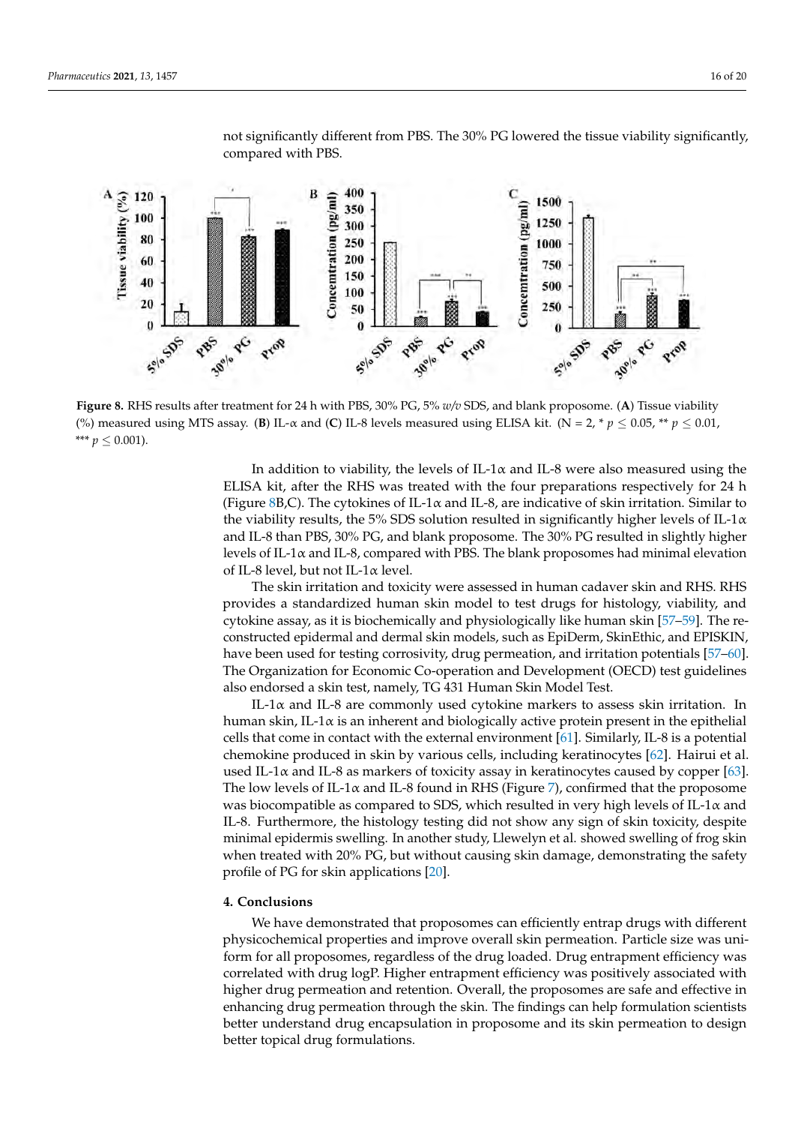<span id="page-15-0"></span>

not significantly different from PBS. The 30% PG lowered the tissue viability significantly, compared with PBS.

**Figure 8.** RHS results after treatment for 24 h with PBS, 30% PG, 5% *w/v* SDS, and blank proposome. (**A**) Tissue viability (%) measured using MTS assay. (**B**) IL- $\alpha$  and (**C**) IL-8 levels measured using ELISA kit. (N = 2, \*  $p \le 0.05$ , \*\*  $p \le 0.01$ , \*\*\*  $p \leq 0.001$ ).

In addition to viability, the levels of IL-1 $\alpha$  and IL-8 were also measured using the ELISA kit, after the RHS was treated with the four preparations respectively for 24 h (Figure [8B](#page-15-0),C). The cytokines of IL-1 $\alpha$  and IL-8, are indicative of skin irritation. Similar to the viability results, the 5% SDS solution resulted in significantly higher levels of IL-1 $\alpha$ and IL-8 than PBS, 30% PG, and blank proposome. The 30% PG resulted in slightly higher levels of IL-1 $\alpha$  and IL-8, compared with PBS. The blank proposomes had minimal elevation of IL-8 level, but not IL-1α level.

The skin irritation and toxicity were assessed in human cadaver skin and RHS. RHS provides a standardized human skin model to test drugs for histology, viability, and cytokine assay, as it is biochemically and physiologically like human skin [\[57–](#page-18-19)[59\]](#page-18-20). The reconstructed epidermal and dermal skin models, such as EpiDerm, SkinEthic, and EPISKIN, have been used for testing corrosivity, drug permeation, and irritation potentials [\[57](#page-18-19)[–60\]](#page-18-21). The Organization for Economic Co-operation and Development (OECD) test guidelines also endorsed a skin test, namely, TG 431 Human Skin Model Test.

IL-1α and IL-8 are commonly used cytokine markers to assess skin irritation. In human skin, IL-1α is an inherent and biologically active protein present in the epithelial cells that come in contact with the external environment [\[61\]](#page-18-22). Similarly, IL-8 is a potential chemokine produced in skin by various cells, including keratinocytes [\[62\]](#page-19-0). Hairui et al. used IL-1 $\alpha$  and IL-8 as markers of toxicity assay in keratinocytes caused by copper [\[63\]](#page-19-1). The low levels of IL-1 $\alpha$  and IL-8 found in RHS (Figure [7\)](#page-14-0), confirmed that the proposome was biocompatible as compared to SDS, which resulted in very high levels of IL-1 $\alpha$  and IL-8. Furthermore, the histology testing did not show any sign of skin toxicity, despite minimal epidermis swelling. In another study, Llewelyn et al. showed swelling of frog skin when treated with 20% PG, but without causing skin damage, demonstrating the safety profile of PG for skin applications [\[20\]](#page-17-11).

## **4. Conclusions**

We have demonstrated that proposomes can efficiently entrap drugs with different physicochemical properties and improve overall skin permeation. Particle size was uniform for all proposomes, regardless of the drug loaded. Drug entrapment efficiency was correlated with drug logP. Higher entrapment efficiency was positively associated with higher drug permeation and retention. Overall, the proposomes are safe and effective in enhancing drug permeation through the skin. The findings can help formulation scientists better understand drug encapsulation in proposome and its skin permeation to design better topical drug formulations.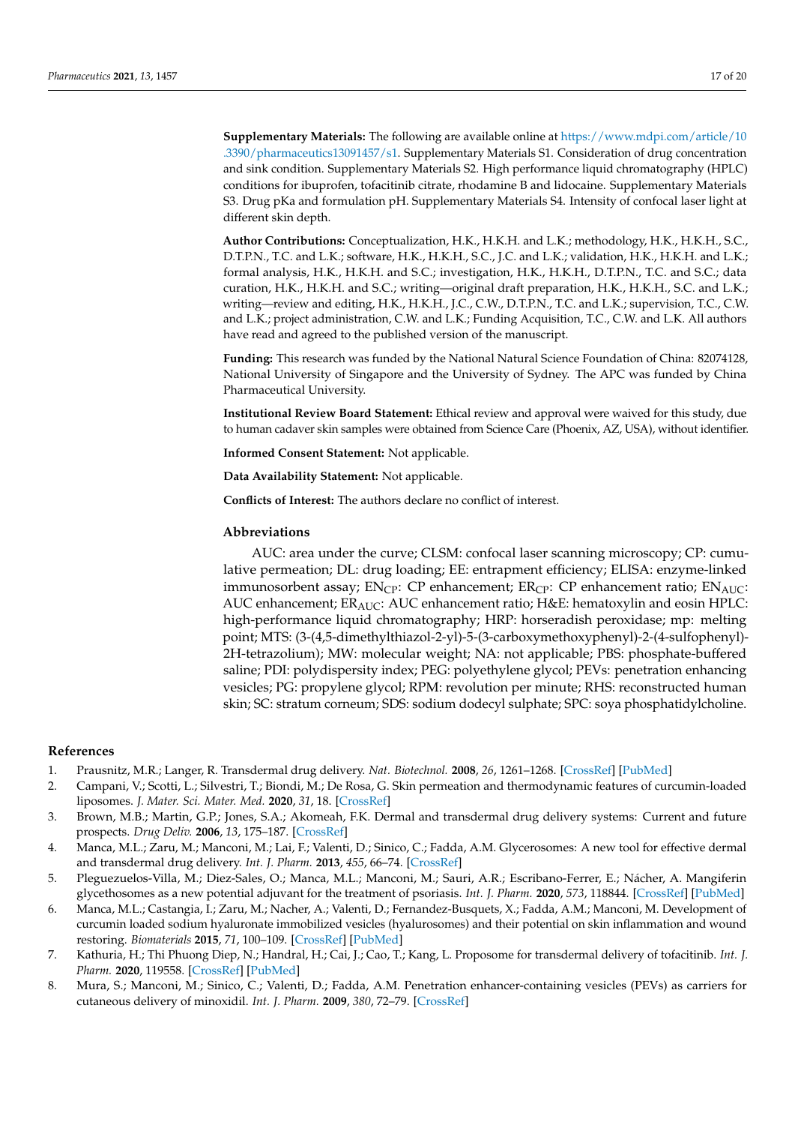**Supplementary Materials:** The following are available online at [https://www.mdpi.com/article/10](https://www.mdpi.com/article/10.3390/pharmaceutics13091457/s1) [.3390/pharmaceutics13091457/s1.](https://www.mdpi.com/article/10.3390/pharmaceutics13091457/s1) Supplementary Materials S1. Consideration of drug concentration and sink condition. Supplementary Materials S2. High performance liquid chromatography (HPLC) conditions for ibuprofen, tofacitinib citrate, rhodamine B and lidocaine. Supplementary Materials S3. Drug pKa and formulation pH. Supplementary Materials S4. Intensity of confocal laser light at different skin depth.

**Author Contributions:** Conceptualization, H.K., H.K.H. and L.K.; methodology, H.K., H.K.H., S.C., D.T.P.N., T.C. and L.K.; software, H.K., H.K.H., S.C., J.C. and L.K.; validation, H.K., H.K.H. and L.K.; formal analysis, H.K., H.K.H. and S.C.; investigation, H.K., H.K.H., D.T.P.N., T.C. and S.C.; data curation, H.K., H.K.H. and S.C.; writing—original draft preparation, H.K., H.K.H., S.C. and L.K.; writing—review and editing, H.K., H.K.H., J.C., C.W., D.T.P.N., T.C. and L.K.; supervision, T.C., C.W. and L.K.; project administration, C.W. and L.K.; Funding Acquisition, T.C., C.W. and L.K. All authors have read and agreed to the published version of the manuscript.

**Funding:** This research was funded by the National Natural Science Foundation of China: 82074128, National University of Singapore and the University of Sydney. The APC was funded by China Pharmaceutical University.

**Institutional Review Board Statement:** Ethical review and approval were waived for this study, due to human cadaver skin samples were obtained from Science Care (Phoenix, AZ, USA), without identifier.

**Informed Consent Statement:** Not applicable.

**Data Availability Statement:** Not applicable.

**Conflicts of Interest:** The authors declare no conflict of interest.

#### **Abbreviations**

AUC: area under the curve; CLSM: confocal laser scanning microscopy; CP: cumulative permeation; DL: drug loading; EE: entrapment efficiency; ELISA: enzyme-linked immunosorbent assay;  $EN_{\text{CP}}$ : CP enhancement;  $ER_{\text{CP}}$ : CP enhancement ratio;  $EN_{\text{AUC}}$ : AUC enhancement; ERAUC: AUC enhancement ratio; H&E: hematoxylin and eosin HPLC: high-performance liquid chromatography; HRP: horseradish peroxidase; mp: melting point; MTS: (3-(4,5-dimethylthiazol-2-yl)-5-(3-carboxymethoxyphenyl)-2-(4-sulfophenyl)- 2H-tetrazolium); MW: molecular weight; NA: not applicable; PBS: phosphate-buffered saline; PDI: polydispersity index; PEG: polyethylene glycol; PEVs: penetration enhancing vesicles; PG: propylene glycol; RPM: revolution per minute; RHS: reconstructed human skin; SC: stratum corneum; SDS: sodium dodecyl sulphate; SPC: soya phosphatidylcholine.

#### **References**

- <span id="page-16-0"></span>1. Prausnitz, M.R.; Langer, R. Transdermal drug delivery. *Nat. Biotechnol.* **2008**, *26*, 1261–1268. [\[CrossRef\]](http://doi.org/10.1038/nbt.1504) [\[PubMed\]](http://www.ncbi.nlm.nih.gov/pubmed/18997767)
- <span id="page-16-1"></span>2. Campani, V.; Scotti, L.; Silvestri, T.; Biondi, M.; De Rosa, G. Skin permeation and thermodynamic features of curcumin-loaded liposomes. *J. Mater. Sci. Mater. Med.* **2020**, *31*, 18. [\[CrossRef\]](http://doi.org/10.1007/s10856-019-6351-6)
- <span id="page-16-2"></span>3. Brown, M.B.; Martin, G.P.; Jones, S.A.; Akomeah, F.K. Dermal and transdermal drug delivery systems: Current and future prospects. *Drug Deliv.* **2006**, *13*, 175–187. [\[CrossRef\]](http://doi.org/10.1080/10717540500455975)
- <span id="page-16-3"></span>4. Manca, M.L.; Zaru, M.; Manconi, M.; Lai, F.; Valenti, D.; Sinico, C.; Fadda, A.M. Glycerosomes: A new tool for effective dermal and transdermal drug delivery. *Int. J. Pharm.* **2013**, *455*, 66–74. [\[CrossRef\]](http://doi.org/10.1016/j.ijpharm.2013.07.060)
- <span id="page-16-4"></span>5. Pleguezuelos-Villa, M.; Diez-Sales, O.; Manca, M.L.; Manconi, M.; Sauri, A.R.; Escribano-Ferrer, E.; Nácher, A. Mangiferin glycethosomes as a new potential adjuvant for the treatment of psoriasis. *Int. J. Pharm.* **2020**, *573*, 118844. [\[CrossRef\]](http://doi.org/10.1016/j.ijpharm.2019.118844) [\[PubMed\]](http://www.ncbi.nlm.nih.gov/pubmed/31751638)
- <span id="page-16-5"></span>6. Manca, M.L.; Castangia, I.; Zaru, M.; Nacher, A.; Valenti, D.; Fernandez-Busquets, X.; Fadda, A.M.; Manconi, M. Development of curcumin loaded sodium hyaluronate immobilized vesicles (hyalurosomes) and their potential on skin inflammation and wound restoring. *Biomaterials* **2015**, *71*, 100–109. [\[CrossRef\]](http://doi.org/10.1016/j.biomaterials.2015.08.034) [\[PubMed\]](http://www.ncbi.nlm.nih.gov/pubmed/26321058)
- <span id="page-16-6"></span>7. Kathuria, H.; Thi Phuong Diep, N.; Handral, H.; Cai, J.; Cao, T.; Kang, L. Proposome for transdermal delivery of tofacitinib. *Int. J. Pharm.* **2020**, 119558. [\[CrossRef\]](http://doi.org/10.1016/j.ijpharm.2020.119558) [\[PubMed\]](http://www.ncbi.nlm.nih.gov/pubmed/32565283)
- <span id="page-16-7"></span>8. Mura, S.; Manconi, M.; Sinico, C.; Valenti, D.; Fadda, A.M. Penetration enhancer-containing vesicles (PEVs) as carriers for cutaneous delivery of minoxidil. *Int. J. Pharm.* **2009**, *380*, 72–79. [\[CrossRef\]](http://doi.org/10.1016/j.ijpharm.2009.06.040)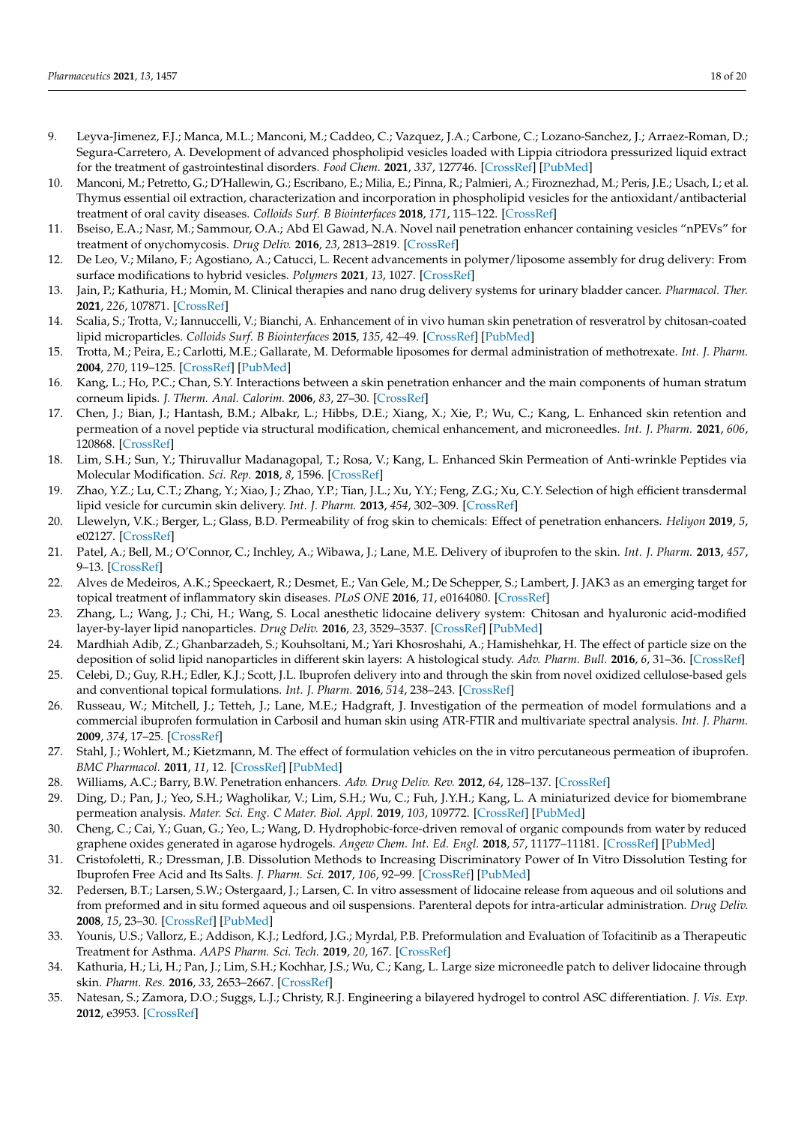- <span id="page-17-0"></span>9. Leyva-Jimenez, F.J.; Manca, M.L.; Manconi, M.; Caddeo, C.; Vazquez, J.A.; Carbone, C.; Lozano-Sanchez, J.; Arraez-Roman, D.; Segura-Carretero, A. Development of advanced phospholipid vesicles loaded with Lippia citriodora pressurized liquid extract for the treatment of gastrointestinal disorders. *Food Chem.* **2021**, *337*, 127746. [\[CrossRef\]](http://doi.org/10.1016/j.foodchem.2020.127746) [\[PubMed\]](http://www.ncbi.nlm.nih.gov/pubmed/32795856)
- <span id="page-17-1"></span>10. Manconi, M.; Petretto, G.; D'Hallewin, G.; Escribano, E.; Milia, E.; Pinna, R.; Palmieri, A.; Firoznezhad, M.; Peris, J.E.; Usach, I.; et al. Thymus essential oil extraction, characterization and incorporation in phospholipid vesicles for the antioxidant/antibacterial treatment of oral cavity diseases. *Colloids Surf. B Biointerfaces* **2018**, *171*, 115–122. [\[CrossRef\]](http://doi.org/10.1016/j.colsurfb.2018.07.021)
- <span id="page-17-2"></span>11. Bseiso, E.A.; Nasr, M.; Sammour, O.A.; Abd El Gawad, N.A. Novel nail penetration enhancer containing vesicles "nPEVs" for treatment of onychomycosis. *Drug Deliv.* **2016**, *23*, 2813–2819. [\[CrossRef\]](http://doi.org/10.3109/10717544.2015.1099059)
- <span id="page-17-3"></span>12. De Leo, V.; Milano, F.; Agostiano, A.; Catucci, L. Recent advancements in polymer/liposome assembly for drug delivery: From surface modifications to hybrid vesicles. *Polymers* **2021**, *13*, 1027. [\[CrossRef\]](http://doi.org/10.3390/polym13071027)
- <span id="page-17-4"></span>13. Jain, P.; Kathuria, H.; Momin, M. Clinical therapies and nano drug delivery systems for urinary bladder cancer. *Pharmacol. Ther.* **2021**, *226*, 107871. [\[CrossRef\]](http://doi.org/10.1016/j.pharmthera.2021.107871)
- <span id="page-17-5"></span>14. Scalia, S.; Trotta, V.; Iannuccelli, V.; Bianchi, A. Enhancement of in vivo human skin penetration of resveratrol by chitosan-coated lipid microparticles. *Colloids Surf. B Biointerfaces* **2015**, *135*, 42–49. [\[CrossRef\]](http://doi.org/10.1016/j.colsurfb.2015.07.043) [\[PubMed\]](http://www.ncbi.nlm.nih.gov/pubmed/26241915)
- <span id="page-17-6"></span>15. Trotta, M.; Peira, E.; Carlotti, M.E.; Gallarate, M. Deformable liposomes for dermal administration of methotrexate. *Int. J. Pharm.* **2004**, *270*, 119–125. [\[CrossRef\]](http://doi.org/10.1016/j.ijpharm.2003.10.006) [\[PubMed\]](http://www.ncbi.nlm.nih.gov/pubmed/14726128)
- <span id="page-17-7"></span>16. Kang, L.; Ho, P.C.; Chan, S.Y. Interactions between a skin penetration enhancer and the main components of human stratum corneum lipids. *J. Therm. Anal. Calorim.* **2006**, *83*, 27–30. [\[CrossRef\]](http://doi.org/10.1007/s10973-005-7050-8)
- <span id="page-17-8"></span>17. Chen, J.; Bian, J.; Hantash, B.M.; Albakr, L.; Hibbs, D.E.; Xiang, X.; Xie, P.; Wu, C.; Kang, L. Enhanced skin retention and permeation of a novel peptide via structural modification, chemical enhancement, and microneedles. *Int. J. Pharm.* **2021**, *606*, 120868. [\[CrossRef\]](http://doi.org/10.1016/j.ijpharm.2021.120868)
- <span id="page-17-9"></span>18. Lim, S.H.; Sun, Y.; Thiruvallur Madanagopal, T.; Rosa, V.; Kang, L. Enhanced Skin Permeation of Anti-wrinkle Peptides via Molecular Modification. *Sci. Rep.* **2018**, *8*, 1596. [\[CrossRef\]](http://doi.org/10.1038/s41598-017-18454-z)
- <span id="page-17-10"></span>19. Zhao, Y.Z.; Lu, C.T.; Zhang, Y.; Xiao, J.; Zhao, Y.P.; Tian, J.L.; Xu, Y.Y.; Feng, Z.G.; Xu, C.Y. Selection of high efficient transdermal lipid vesicle for curcumin skin delivery. *Int. J. Pharm.* **2013**, *454*, 302–309. [\[CrossRef\]](http://doi.org/10.1016/j.ijpharm.2013.06.052)
- <span id="page-17-11"></span>20. Llewelyn, V.K.; Berger, L.; Glass, B.D. Permeability of frog skin to chemicals: Effect of penetration enhancers. *Heliyon* **2019**, *5*, e02127. [\[CrossRef\]](http://doi.org/10.1016/j.heliyon.2019.e02127)
- <span id="page-17-12"></span>21. Patel, A.; Bell, M.; O'Connor, C.; Inchley, A.; Wibawa, J.; Lane, M.E. Delivery of ibuprofen to the skin. *Int. J. Pharm.* **2013**, *457*, 9–13. [\[CrossRef\]](http://doi.org/10.1016/j.ijpharm.2013.09.019)
- <span id="page-17-13"></span>22. Alves de Medeiros, A.K.; Speeckaert, R.; Desmet, E.; Van Gele, M.; De Schepper, S.; Lambert, J. JAK3 as an emerging target for topical treatment of inflammatory skin diseases. *PLoS ONE* **2016**, *11*, e0164080. [\[CrossRef\]](http://doi.org/10.1371/journal.pone.0164080)
- <span id="page-17-14"></span>23. Zhang, L.; Wang, J.; Chi, H.; Wang, S. Local anesthetic lidocaine delivery system: Chitosan and hyaluronic acid-modified layer-by-layer lipid nanoparticles. *Drug Deliv.* **2016**, *23*, 3529–3537. [\[CrossRef\]](http://doi.org/10.1080/10717544.2016.1204569) [\[PubMed\]](http://www.ncbi.nlm.nih.gov/pubmed/27340888)
- <span id="page-17-15"></span>24. Mardhiah Adib, Z.; Ghanbarzadeh, S.; Kouhsoltani, M.; Yari Khosroshahi, A.; Hamishehkar, H. The effect of particle size on the deposition of solid lipid nanoparticles in different skin layers: A histological study. *Adv. Pharm. Bull.* **2016**, *6*, 31–36. [\[CrossRef\]](http://doi.org/10.15171/apb.2016.06)
- <span id="page-17-16"></span>25. Celebi, D.; Guy, R.H.; Edler, K.J.; Scott, J.L. Ibuprofen delivery into and through the skin from novel oxidized cellulose-based gels and conventional topical formulations. *Int. J. Pharm.* **2016**, *514*, 238–243. [\[CrossRef\]](http://doi.org/10.1016/j.ijpharm.2016.09.028)
- <span id="page-17-17"></span>26. Russeau, W.; Mitchell, J.; Tetteh, J.; Lane, M.E.; Hadgraft, J. Investigation of the permeation of model formulations and a commercial ibuprofen formulation in Carbosil and human skin using ATR-FTIR and multivariate spectral analysis. *Int. J. Pharm.* **2009**, *374*, 17–25. [\[CrossRef\]](http://doi.org/10.1016/j.ijpharm.2009.02.018)
- <span id="page-17-18"></span>27. Stahl, J.; Wohlert, M.; Kietzmann, M. The effect of formulation vehicles on the in vitro percutaneous permeation of ibuprofen. *BMC Pharmacol.* **2011**, *11*, 12. [\[CrossRef\]](http://doi.org/10.1186/1471-2210-11-12) [\[PubMed\]](http://www.ncbi.nlm.nih.gov/pubmed/22168832)
- <span id="page-17-19"></span>28. Williams, A.C.; Barry, B.W. Penetration enhancers. *Adv. Drug Deliv. Rev.* **2012**, *64*, 128–137. [\[CrossRef\]](http://doi.org/10.1016/j.addr.2012.09.032)
- <span id="page-17-20"></span>29. Ding, D.; Pan, J.; Yeo, S.H.; Wagholikar, V.; Lim, S.H.; Wu, C.; Fuh, J.Y.H.; Kang, L. A miniaturized device for biomembrane permeation analysis. *Mater. Sci. Eng. C Mater. Biol. Appl.* **2019**, *103*, 109772. [\[CrossRef\]](http://doi.org/10.1016/j.msec.2019.109772) [\[PubMed\]](http://www.ncbi.nlm.nih.gov/pubmed/31349518)
- <span id="page-17-21"></span>30. Cheng, C.; Cai, Y.; Guan, G.; Yeo, L.; Wang, D. Hydrophobic-force-driven removal of organic compounds from water by reduced graphene oxides generated in agarose hydrogels. *Angew Chem. Int. Ed. Engl.* **2018**, *57*, 11177–11181. [\[CrossRef\]](http://doi.org/10.1002/anie.201803834) [\[PubMed\]](http://www.ncbi.nlm.nih.gov/pubmed/29964347)
- 31. Cristofoletti, R.; Dressman, J.B. Dissolution Methods to Increasing Discriminatory Power of In Vitro Dissolution Testing for Ibuprofen Free Acid and Its Salts. *J. Pharm. Sci.* **2017**, *106*, 92–99. [\[CrossRef\]](http://doi.org/10.1016/j.xphs.2016.06.001) [\[PubMed\]](http://www.ncbi.nlm.nih.gov/pubmed/27397434)
- <span id="page-17-25"></span>32. Pedersen, B.T.; Larsen, S.W.; Ostergaard, J.; Larsen, C. In vitro assessment of lidocaine release from aqueous and oil solutions and from preformed and in situ formed aqueous and oil suspensions. Parenteral depots for intra-articular administration. *Drug Deliv.* **2008**, *15*, 23–30. [\[CrossRef\]](http://doi.org/10.1080/10717540701828657) [\[PubMed\]](http://www.ncbi.nlm.nih.gov/pubmed/18197520)
- <span id="page-17-22"></span>33. Younis, U.S.; Vallorz, E.; Addison, K.J.; Ledford, J.G.; Myrdal, P.B. Preformulation and Evaluation of Tofacitinib as a Therapeutic Treatment for Asthma. *AAPS Pharm. Sci. Tech.* **2019**, *20*, 167. [\[CrossRef\]](http://doi.org/10.1208/s12249-019-1377-0)
- <span id="page-17-23"></span>34. Kathuria, H.; Li, H.; Pan, J.; Lim, S.H.; Kochhar, J.S.; Wu, C.; Kang, L. Large size microneedle patch to deliver lidocaine through skin. *Pharm. Res.* **2016**, *33*, 2653–2667. [\[CrossRef\]](http://doi.org/10.1007/s11095-016-1991-4)
- <span id="page-17-24"></span>35. Natesan, S.; Zamora, D.O.; Suggs, L.J.; Christy, R.J. Engineering a bilayered hydrogel to control ASC differentiation. *J. Vis. Exp.* **2012**, e3953. [\[CrossRef\]](http://doi.org/10.3791/3953)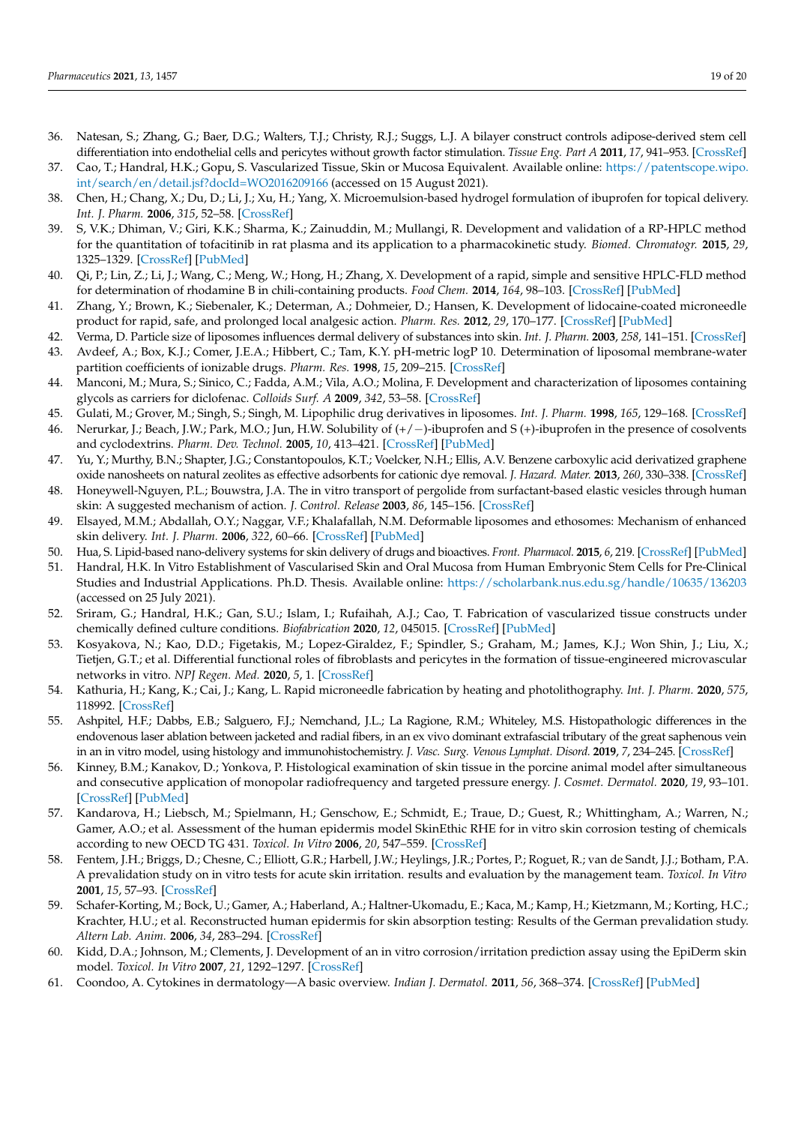- <span id="page-18-0"></span>36. Natesan, S.; Zhang, G.; Baer, D.G.; Walters, T.J.; Christy, R.J.; Suggs, L.J. A bilayer construct controls adipose-derived stem cell differentiation into endothelial cells and pericytes without growth factor stimulation. *Tissue Eng. Part A* **2011**, *17*, 941–953. [\[CrossRef\]](http://doi.org/10.1089/ten.tea.2010.0294)
- <span id="page-18-1"></span>37. Cao, T.; Handral, H.K.; Gopu, S. Vascularized Tissue, Skin or Mucosa Equivalent. Available online: [https://patentscope.wipo.](https://patentscope.wipo.int/search/en/detail.jsf?docId=WO2016209166) [int/search/en/detail.jsf?docId=WO2016209166](https://patentscope.wipo.int/search/en/detail.jsf?docId=WO2016209166) (accessed on 15 August 2021).
- <span id="page-18-2"></span>38. Chen, H.; Chang, X.; Du, D.; Li, J.; Xu, H.; Yang, X. Microemulsion-based hydrogel formulation of ibuprofen for topical delivery. *Int. J. Pharm.* **2006**, *315*, 52–58. [\[CrossRef\]](http://doi.org/10.1016/j.ijpharm.2006.02.015)
- 39. S, V.K.; Dhiman, V.; Giri, K.K.; Sharma, K.; Zainuddin, M.; Mullangi, R. Development and validation of a RP-HPLC method for the quantitation of tofacitinib in rat plasma and its application to a pharmacokinetic study. *Biomed. Chromatogr.* **2015**, *29*, 1325–1329. [\[CrossRef\]](http://doi.org/10.1002/bmc.3426) [\[PubMed\]](http://www.ncbi.nlm.nih.gov/pubmed/25622797)
- 40. Qi, P.; Lin, Z.; Li, J.; Wang, C.; Meng, W.; Hong, H.; Zhang, X. Development of a rapid, simple and sensitive HPLC-FLD method for determination of rhodamine B in chili-containing products. *Food Chem.* **2014**, *164*, 98–103. [\[CrossRef\]](http://doi.org/10.1016/j.foodchem.2014.05.036) [\[PubMed\]](http://www.ncbi.nlm.nih.gov/pubmed/24996311)
- <span id="page-18-3"></span>41. Zhang, Y.; Brown, K.; Siebenaler, K.; Determan, A.; Dohmeier, D.; Hansen, K. Development of lidocaine-coated microneedle product for rapid, safe, and prolonged local analgesic action. *Pharm. Res.* **2012**, *29*, 170–177. [\[CrossRef\]](http://doi.org/10.1007/s11095-011-0524-4) [\[PubMed\]](http://www.ncbi.nlm.nih.gov/pubmed/21735335)
- <span id="page-18-4"></span>42. Verma, D. Particle size of liposomes influences dermal delivery of substances into skin. *Int. J. Pharm.* **2003**, *258*, 141–151. [\[CrossRef\]](http://doi.org/10.1016/S0378-5173(03)00183-2)
- <span id="page-18-5"></span>43. Avdeef, A.; Box, K.J.; Comer, J.E.A.; Hibbert, C.; Tam, K.Y. pH-metric logP 10. Determination of liposomal membrane-water partition coefficients of ionizable drugs. *Pharm. Res.* **1998**, *15*, 209–215. [\[CrossRef\]](http://doi.org/10.1023/A:1011954332221)
- <span id="page-18-6"></span>44. Manconi, M.; Mura, S.; Sinico, C.; Fadda, A.M.; Vila, A.O.; Molina, F. Development and characterization of liposomes containing glycols as carriers for diclofenac. *Colloids Surf. A* **2009**, *342*, 53–58. [\[CrossRef\]](http://doi.org/10.1016/j.colsurfa.2009.04.006)
- <span id="page-18-7"></span>45. Gulati, M.; Grover, M.; Singh, S.; Singh, M. Lipophilic drug derivatives in liposomes. *Int. J. Pharm.* **1998**, *165*, 129–168. [\[CrossRef\]](http://doi.org/10.1016/S0378-5173(98)00006-4)
- <span id="page-18-8"></span>46. Nerurkar, J.; Beach, J.W.; Park, M.O.; Jun, H.W. Solubility of (+/−)-ibuprofen and S (+)-ibuprofen in the presence of cosolvents and cyclodextrins. *Pharm. Dev. Technol.* **2005**, *10*, 413–421. [\[CrossRef\]](http://doi.org/10.1081/pdt-54446) [\[PubMed\]](http://www.ncbi.nlm.nih.gov/pubmed/16176022)
- <span id="page-18-9"></span>47. Yu, Y.; Murthy, B.N.; Shapter, J.G.; Constantopoulos, K.T.; Voelcker, N.H.; Ellis, A.V. Benzene carboxylic acid derivatized graphene oxide nanosheets on natural zeolites as effective adsorbents for cationic dye removal. *J. Hazard. Mater.* **2013**, *260*, 330–338. [\[CrossRef\]](http://doi.org/10.1016/j.jhazmat.2013.05.041)
- <span id="page-18-10"></span>48. Honeywell-Nguyen, P.L.; Bouwstra, J.A. The in vitro transport of pergolide from surfactant-based elastic vesicles through human skin: A suggested mechanism of action. *J. Control. Release* **2003**, *86*, 145–156. [\[CrossRef\]](http://doi.org/10.1016/S0168-3659(02)00415-7)
- <span id="page-18-11"></span>49. Elsayed, M.M.; Abdallah, O.Y.; Naggar, V.F.; Khalafallah, N.M. Deformable liposomes and ethosomes: Mechanism of enhanced skin delivery. *Int. J. Pharm.* **2006**, *322*, 60–66. [\[CrossRef\]](http://doi.org/10.1016/j.ijpharm.2006.05.027) [\[PubMed\]](http://www.ncbi.nlm.nih.gov/pubmed/16806755)
- <span id="page-18-12"></span>50. Hua, S. Lipid-based nano-delivery systems for skin delivery of drugs and bioactives. *Front. Pharmacol.* **2015**, *6*, 219. [\[CrossRef\]](http://doi.org/10.3389/fphar.2015.00219) [\[PubMed\]](http://www.ncbi.nlm.nih.gov/pubmed/26483690)
- <span id="page-18-13"></span>51. Handral, H.K. In Vitro Establishment of Vascularised Skin and Oral Mucosa from Human Embryonic Stem Cells for Pre-Clinical Studies and Industrial Applications. Ph.D. Thesis. Available online: <https://scholarbank.nus.edu.sg/handle/10635/136203> (accessed on 25 July 2021).
- <span id="page-18-14"></span>52. Sriram, G.; Handral, H.K.; Gan, S.U.; Islam, I.; Rufaihah, A.J.; Cao, T. Fabrication of vascularized tissue constructs under chemically defined culture conditions. *Biofabrication* **2020**, *12*, 045015. [\[CrossRef\]](http://doi.org/10.1088/1758-5090/aba0c2) [\[PubMed\]](http://www.ncbi.nlm.nih.gov/pubmed/32599575)
- <span id="page-18-15"></span>53. Kosyakova, N.; Kao, D.D.; Figetakis, M.; Lopez-Giraldez, F.; Spindler, S.; Graham, M.; James, K.J.; Won Shin, J.; Liu, X.; Tietjen, G.T.; et al. Differential functional roles of fibroblasts and pericytes in the formation of tissue-engineered microvascular networks in vitro. *NPJ Regen. Med.* **2020**, *5*, 1. [\[CrossRef\]](http://doi.org/10.1038/s41536-019-0086-3)
- <span id="page-18-16"></span>54. Kathuria, H.; Kang, K.; Cai, J.; Kang, L. Rapid microneedle fabrication by heating and photolithography. *Int. J. Pharm.* **2020**, *575*, 118992. [\[CrossRef\]](http://doi.org/10.1016/j.ijpharm.2019.118992)
- <span id="page-18-17"></span>55. Ashpitel, H.F.; Dabbs, E.B.; Salguero, F.J.; Nemchand, J.L.; La Ragione, R.M.; Whiteley, M.S. Histopathologic differences in the endovenous laser ablation between jacketed and radial fibers, in an ex vivo dominant extrafascial tributary of the great saphenous vein in an in vitro model, using histology and immunohistochemistry. *J. Vasc. Surg. Venous Lymphat. Disord.* **2019**, *7*, 234–245. [\[CrossRef\]](http://doi.org/10.1016/j.jvsv.2018.09.017)
- <span id="page-18-18"></span>56. Kinney, B.M.; Kanakov, D.; Yonkova, P. Histological examination of skin tissue in the porcine animal model after simultaneous and consecutive application of monopolar radiofrequency and targeted pressure energy. *J. Cosmet. Dermatol.* **2020**, *19*, 93–101. [\[CrossRef\]](http://doi.org/10.1111/jocd.13235) [\[PubMed\]](http://www.ncbi.nlm.nih.gov/pubmed/31794139)
- <span id="page-18-19"></span>57. Kandarova, H.; Liebsch, M.; Spielmann, H.; Genschow, E.; Schmidt, E.; Traue, D.; Guest, R.; Whittingham, A.; Warren, N.; Gamer, A.O.; et al. Assessment of the human epidermis model SkinEthic RHE for in vitro skin corrosion testing of chemicals according to new OECD TG 431. *Toxicol. In Vitro* **2006**, *20*, 547–559. [\[CrossRef\]](http://doi.org/10.1016/j.tiv.2005.11.008)
- 58. Fentem, J.H.; Briggs, D.; Chesne, C.; Elliott, G.R.; Harbell, J.W.; Heylings, J.R.; Portes, P.; Roguet, R.; van de Sandt, J.J.; Botham, P.A. A prevalidation study on in vitro tests for acute skin irritation. results and evaluation by the management team. *Toxicol. In Vitro* **2001**, *15*, 57–93. [\[CrossRef\]](http://doi.org/10.1016/S0887-2333(01)00002-9)
- <span id="page-18-20"></span>59. Schafer-Korting, M.; Bock, U.; Gamer, A.; Haberland, A.; Haltner-Ukomadu, E.; Kaca, M.; Kamp, H.; Kietzmann, M.; Korting, H.C.; Krachter, H.U.; et al. Reconstructed human epidermis for skin absorption testing: Results of the German prevalidation study. *Altern Lab. Anim.* **2006**, *34*, 283–294. [\[CrossRef\]](http://doi.org/10.1177/026119290603400312)
- <span id="page-18-21"></span>60. Kidd, D.A.; Johnson, M.; Clements, J. Development of an in vitro corrosion/irritation prediction assay using the EpiDerm skin model. *Toxicol. In Vitro* **2007**, *21*, 1292–1297. [\[CrossRef\]](http://doi.org/10.1016/j.tiv.2007.08.018)
- <span id="page-18-22"></span>61. Coondoo, A. Cytokines in dermatology—A basic overview. *Indian J. Dermatol.* **2011**, *56*, 368–374. [\[CrossRef\]](http://doi.org/10.4103/0019-5154.84717) [\[PubMed\]](http://www.ncbi.nlm.nih.gov/pubmed/21965841)